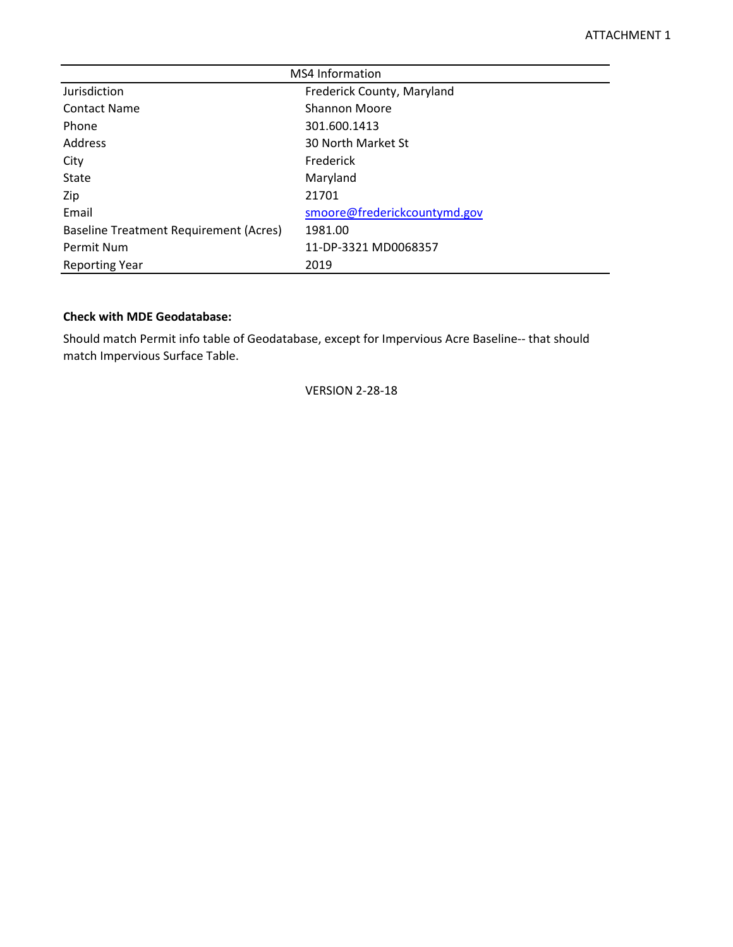| <b>MS4 Information</b>                 |                              |  |  |  |  |  |  |  |
|----------------------------------------|------------------------------|--|--|--|--|--|--|--|
| Jurisdiction                           | Frederick County, Maryland   |  |  |  |  |  |  |  |
| <b>Contact Name</b>                    | <b>Shannon Moore</b>         |  |  |  |  |  |  |  |
| Phone                                  | 301.600.1413                 |  |  |  |  |  |  |  |
| Address                                | 30 North Market St           |  |  |  |  |  |  |  |
| City                                   | Frederick                    |  |  |  |  |  |  |  |
| <b>State</b>                           | Maryland                     |  |  |  |  |  |  |  |
| Zip                                    | 21701                        |  |  |  |  |  |  |  |
| Email                                  | smoore@frederickcountymd.gov |  |  |  |  |  |  |  |
| Baseline Treatment Requirement (Acres) | 1981.00                      |  |  |  |  |  |  |  |
| Permit Num                             | 11-DP-3321 MD0068357         |  |  |  |  |  |  |  |
| <b>Reporting Year</b>                  | 2019                         |  |  |  |  |  |  |  |

# **Check with MDE Geodatabase:**

Should match Permit info table of Geodatabase, except for Impervious Acre Baseline-- that should match Impervious Surface Table.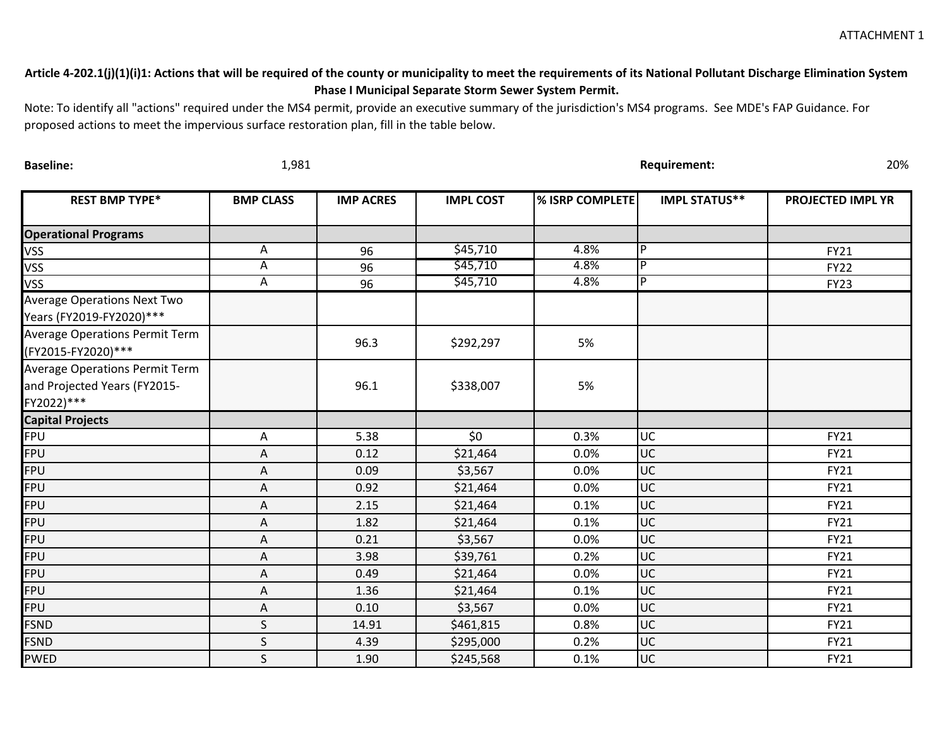ATTACHMENT 1

# **Article 4-202.1(j)(1)(i)1: Actions that will be required of the county or municipality to meet the requirements of its National Pollutant Discharge Elimination System Phase I Municipal Separate Storm Sewer System Permit.**

Note: To identify all "actions" required under the MS4 permit, provide an executive summary of the jurisdiction's MS4 programs. See MDE's FAP Guidance. For proposed actions to meet the impervious surface restoration plan, fill in the table below.

| <b>Baseline:</b>                                                                    | 1,981            |                  |                  | 20%<br><b>Requirement:</b> |                      |                          |  |  |  |  |
|-------------------------------------------------------------------------------------|------------------|------------------|------------------|----------------------------|----------------------|--------------------------|--|--|--|--|
| <b>REST BMP TYPE*</b>                                                               | <b>BMP CLASS</b> | <b>IMP ACRES</b> | <b>IMPL COST</b> | <b>% ISRP COMPLETE</b>     | <b>IMPL STATUS**</b> | <b>PROJECTED IMPL YR</b> |  |  |  |  |
| <b>Operational Programs</b>                                                         |                  |                  |                  |                            |                      |                          |  |  |  |  |
| VSS                                                                                 | Α                | 96               | \$45,710         | 4.8%                       | P                    | <b>FY21</b>              |  |  |  |  |
| VSS                                                                                 | Α                | 96               | \$45,710         | 4.8%                       | lP.                  | <b>FY22</b>              |  |  |  |  |
| VSS                                                                                 | A                | 96               | \$45,710         | 4.8%                       | IP.                  | <b>FY23</b>              |  |  |  |  |
| <b>Average Operations Next Two</b><br>Years (FY2019-FY2020)***                      |                  |                  |                  |                            |                      |                          |  |  |  |  |
| <b>Average Operations Permit Term</b><br>(FY2015-FY2020)***                         |                  | 96.3             | \$292,297        | 5%                         |                      |                          |  |  |  |  |
| <b>Average Operations Permit Term</b><br>and Projected Years (FY2015-<br>FY2022)*** |                  | 96.1             | \$338,007        | 5%                         |                      |                          |  |  |  |  |
| <b>Capital Projects</b>                                                             |                  |                  |                  |                            |                      |                          |  |  |  |  |
| FPU                                                                                 | Α                | 5.38             | \$0              | 0.3%                       | UC                   | <b>FY21</b>              |  |  |  |  |
| FPU                                                                                 | Α                | 0.12             | \$21,464         | 0.0%                       | UC                   | FY21                     |  |  |  |  |
| FPU                                                                                 | Α                | 0.09             | \$3,567          | 0.0%                       | <b>UC</b>            | <b>FY21</b>              |  |  |  |  |
| <b>FPU</b>                                                                          | Α                | 0.92             | \$21,464         | 0.0%                       | UC                   | <b>FY21</b>              |  |  |  |  |
| <b>FPU</b>                                                                          | Α                | 2.15             | \$21,464         | 0.1%                       | UC                   | <b>FY21</b>              |  |  |  |  |
| <b>FPU</b>                                                                          | Α                | 1.82             | \$21,464         | 0.1%                       | UC                   | <b>FY21</b>              |  |  |  |  |
| <b>FPU</b>                                                                          | Α                | 0.21             | \$3,567          | 0.0%                       | <b>UC</b>            | FY21                     |  |  |  |  |
| <b>FPU</b>                                                                          | Α                | 3.98             | \$39,761         | 0.2%                       | <b>UC</b>            | <b>FY21</b>              |  |  |  |  |
| <b>FPU</b>                                                                          | Α                | 0.49             | \$21,464         | 0.0%                       | UC                   | <b>FY21</b>              |  |  |  |  |
| <b>FPU</b>                                                                          | Α                | 1.36             | \$21,464         | 0.1%                       | UC                   | <b>FY21</b>              |  |  |  |  |
| <b>FPU</b>                                                                          | A                | 0.10             | \$3,567          | 0.0%                       | UC                   | <b>FY21</b>              |  |  |  |  |
| <b>FSND</b>                                                                         | S                | 14.91            | \$461,815        | 0.8%                       | <b>UC</b>            | <b>FY21</b>              |  |  |  |  |
| FSND                                                                                | S                | 4.39             | \$295,000        | 0.2%                       | UC                   | <b>FY21</b>              |  |  |  |  |
| PWED                                                                                | $\mathsf{S}$     | 1.90             | \$245,568        | 0.1%                       | luc                  | FY21                     |  |  |  |  |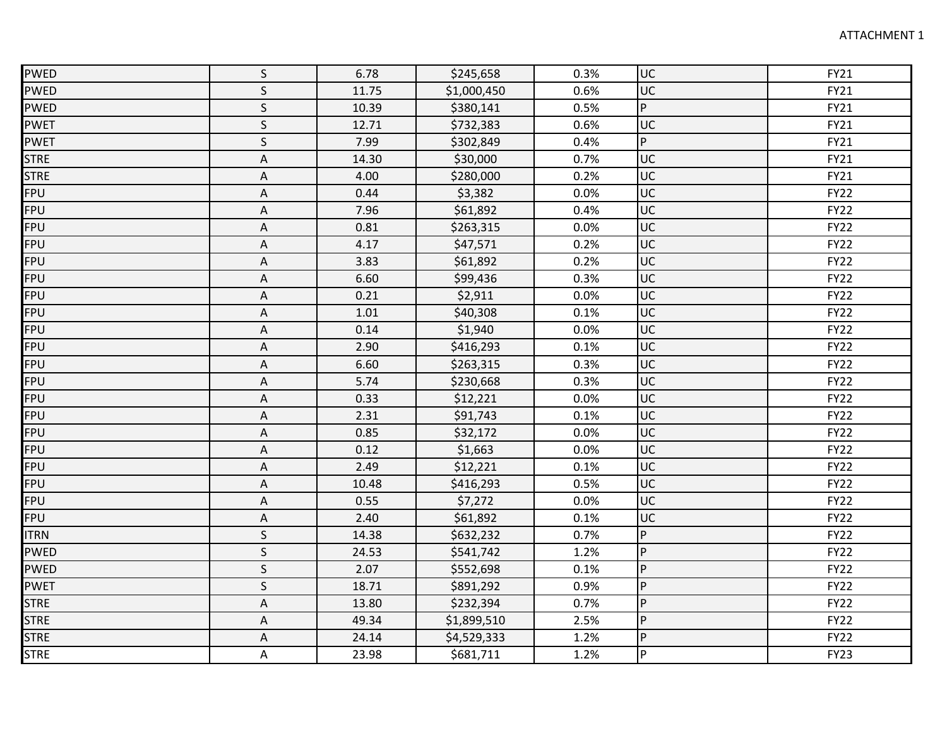| <b>PWED</b> | $\mathsf S$               | 6.78  | \$245,658   | 0.3% | luc                      | FY21        |
|-------------|---------------------------|-------|-------------|------|--------------------------|-------------|
| <b>PWED</b> | $\mathsf S$               | 11.75 | \$1,000,450 | 0.6% | luc                      | <b>FY21</b> |
| <b>PWED</b> | $\mathsf S$               | 10.39 | \$380,141   | 0.5% | $\overline{P}$           | <b>FY21</b> |
| <b>PWET</b> | $\mathsf S$               | 12.71 | \$732,383   | 0.6% | luc                      | <b>FY21</b> |
| <b>PWET</b> | $\mathsf S$               | 7.99  | \$302,849   | 0.4% | P                        | <b>FY21</b> |
| <b>STRE</b> | A                         | 14.30 | \$30,000    | 0.7% | luc                      | <b>FY21</b> |
| <b>STRE</b> | $\mathsf A$               | 4.00  | \$280,000   | 0.2% | luc                      | <b>FY21</b> |
| <b>FPU</b>  | $\mathsf A$               | 0.44  | \$3,382     | 0.0% | luc                      | <b>FY22</b> |
| <b>FPU</b>  | A                         | 7.96  | \$61,892    | 0.4% | luc                      | <b>FY22</b> |
| <b>FPU</b>  | $\mathsf A$               | 0.81  | \$263,315   | 0.0% | luc                      | <b>FY22</b> |
| <b>FPU</b>  | $\mathsf A$               | 4.17  | \$47,571    | 0.2% | luc                      | <b>FY22</b> |
| <b>FPU</b>  | Α                         | 3.83  | \$61,892    | 0.2% | luc                      | <b>FY22</b> |
| FPU         | A                         | 6.60  | \$99,436    | 0.3% | $\overline{\mathsf{UC}}$ | <b>FY22</b> |
| <b>FPU</b>  | $\mathsf A$               | 0.21  | \$2,911     | 0.0% | <b>JUC</b>               | <b>FY22</b> |
| <b>FPU</b>  | Α                         | 1.01  | \$40,308    | 0.1% | luc                      | <b>FY22</b> |
| <b>FPU</b>  | A                         | 0.14  | \$1,940     | 0.0% | luc                      | <b>FY22</b> |
| <b>FPU</b>  | $\mathsf A$               | 2.90  | \$416,293   | 0.1% | luc                      | <b>FY22</b> |
| <b>FPU</b>  | Α                         | 6.60  | \$263,315   | 0.3% | luc                      | <b>FY22</b> |
| <b>FPU</b>  | A                         | 5.74  | \$230,668   | 0.3% | luc                      | <b>FY22</b> |
| FPU         | A                         | 0.33  | \$12,221    | 0.0% | luc                      | <b>FY22</b> |
| <b>FPU</b>  | $\mathsf A$               | 2.31  | \$91,743    | 0.1% | <b>UC</b>                | <b>FY22</b> |
| <b>FPU</b>  | $\mathsf A$               | 0.85  | \$32,172    | 0.0% | luc                      | <b>FY22</b> |
| <b>FPU</b>  | Α                         | 0.12  | \$1,663     | 0.0% | luc                      | <b>FY22</b> |
| <b>FPU</b>  | $\mathsf A$               | 2.49  | \$12,221    | 0.1% | luc                      | <b>FY22</b> |
| <b>FPU</b>  | $\mathsf A$               | 10.48 | \$416,293   | 0.5% | luc                      | <b>FY22</b> |
| <b>FPU</b>  | A                         | 0.55  | \$7,272     | 0.0% | luc                      | <b>FY22</b> |
| <b>FPU</b>  | $\mathsf A$               | 2.40  | \$61,892    | 0.1% | luc                      | <b>FY22</b> |
| <b>ITRN</b> | $\mathsf S$               | 14.38 | \$632,232   | 0.7% | P                        | <b>FY22</b> |
| <b>PWED</b> | $\mathsf{S}$              | 24.53 | \$541,742   | 1.2% | P                        | <b>FY22</b> |
| <b>PWED</b> | $\sf S$                   | 2.07  | \$552,698   | 0.1% | P                        | <b>FY22</b> |
| <b>PWET</b> | $\mathsf S$               | 18.71 | \$891,292   | 0.9% | lP.                      | <b>FY22</b> |
| <b>STRE</b> | $\boldsymbol{\mathsf{A}}$ | 13.80 | \$232,394   | 0.7% | Iр                       | <b>FY22</b> |
| <b>STRE</b> | A                         | 49.34 | \$1,899,510 | 2.5% | P                        | <b>FY22</b> |
| <b>STRE</b> | A                         | 24.14 | \$4,529,333 | 1.2% | P                        | <b>FY22</b> |
| <b>STRE</b> | A                         | 23.98 | \$681,711   | 1.2% | P                        | <b>FY23</b> |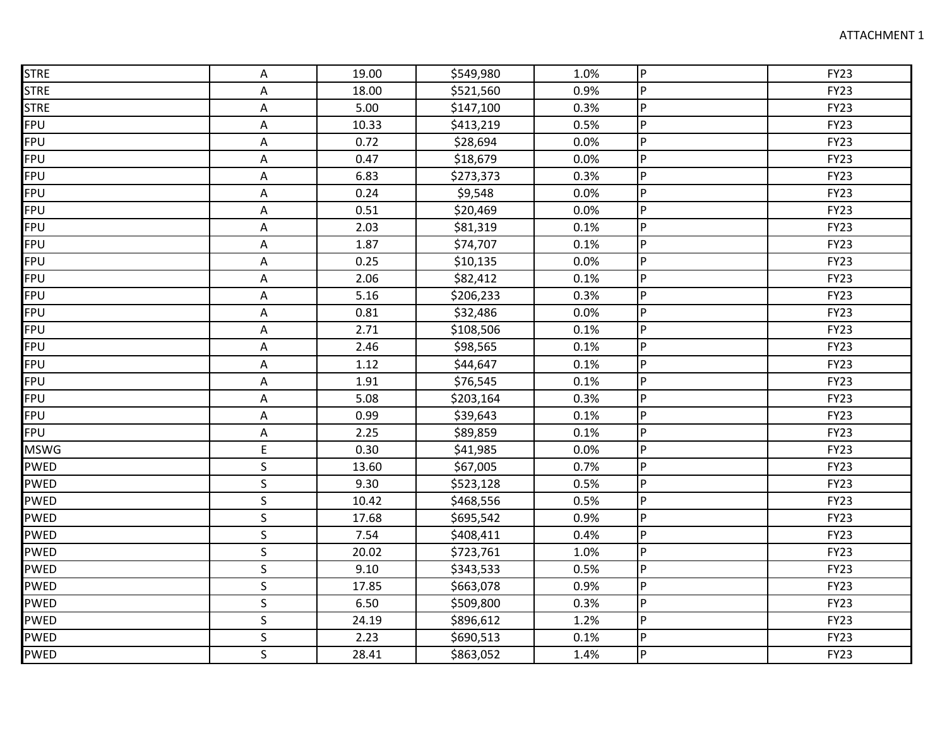| <b>STRE</b> | Α                       | 19.00 | \$549,980 | 1.0% | lP.            | <b>FY23</b> |
|-------------|-------------------------|-------|-----------|------|----------------|-------------|
| <b>STRE</b> | A                       | 18.00 | \$521,560 | 0.9% | $\overline{P}$ | <b>FY23</b> |
| <b>STRE</b> | Α                       | 5.00  | \$147,100 | 0.3% | P              | <b>FY23</b> |
| <b>FPU</b>  | A                       | 10.33 | \$413,219 | 0.5% | lP.            | <b>FY23</b> |
| FPU         | Α                       | 0.72  | \$28,694  | 0.0% | lP.            | <b>FY23</b> |
| <b>FPU</b>  | A                       | 0.47  | \$18,679  | 0.0% | $\overline{P}$ | <b>FY23</b> |
| <b>FPU</b>  | $\mathsf A$             | 6.83  | \$273,373 | 0.3% | P              | <b>FY23</b> |
| <b>FPU</b>  | Α                       | 0.24  | \$9,548   | 0.0% | lP.            | <b>FY23</b> |
| <b>FPU</b>  | А                       | 0.51  | \$20,469  | 0.0% | IP.            | <b>FY23</b> |
| FPU         | A                       | 2.03  | \$81,319  | 0.1% | $\overline{P}$ | <b>FY23</b> |
| FPU         | Α                       | 1.87  | \$74,707  | 0.1% | lP.            | <b>FY23</b> |
| <b>FPU</b>  | A                       | 0.25  | \$10,135  | 0.0% | lP.            | <b>FY23</b> |
| FPU         | A                       | 2.06  | \$82,412  | 0.1% | P              | <b>FY23</b> |
| <b>FPU</b>  | A                       | 5.16  | \$206,233 | 0.3% | P              | <b>FY23</b> |
| <b>FPU</b>  | A                       | 0.81  | \$32,486  | 0.0% | IP.            | <b>FY23</b> |
| <b>FPU</b>  | A                       | 2.71  | \$108,506 | 0.1% | IP.            | <b>FY23</b> |
| FPU         | A                       | 2.46  | \$98,565  | 0.1% | lP.            | <b>FY23</b> |
| FPU         | Α                       | 1.12  | \$44,647  | 0.1% | lP.            | <b>FY23</b> |
| <b>FPU</b>  | A                       | 1.91  | \$76,545  | 0.1% | lP.            | <b>FY23</b> |
| FPU         | A                       | 5.08  | \$203,164 | 0.3% | $\overline{P}$ | <b>FY23</b> |
| <b>FPU</b>  | Α                       | 0.99  | \$39,643  | 0.1% | $\overline{P}$ | <b>FY23</b> |
| <b>FPU</b>  | $\mathsf A$             | 2.25  | \$89,859  | 0.1% | $\overline{P}$ | <b>FY23</b> |
| <b>MSWG</b> | $\mathsf E$             | 0.30  | \$41,985  | 0.0% | IP.            | <b>FY23</b> |
| <b>PWED</b> | S                       | 13.60 | \$67,005  | 0.7% | P              | <b>FY23</b> |
| <b>PWED</b> | $\sf S$                 | 9.30  | \$523,128 | 0.5% | P              | <b>FY23</b> |
| <b>PWED</b> | $\mathsf S$             | 10.42 | \$468,556 | 0.5% | P              | <b>FY23</b> |
| <b>PWED</b> | $\mathsf S$             | 17.68 | \$695,542 | 0.9% | lP.            | <b>FY23</b> |
| <b>PWED</b> | $\mathsf{S}$            | 7.54  | \$408,411 | 0.4% | P              | <b>FY23</b> |
| <b>PWED</b> | $\mathsf S$             | 20.02 | \$723,761 | 1.0% | IP.            | <b>FY23</b> |
| <b>PWED</b> | $\overline{\mathsf{S}}$ | 9.10  | \$343,533 | 0.5% | P.             | <b>FY23</b> |
| <b>PWED</b> | $\mathsf S$             | 17.85 | \$663,078 | 0.9% | IP.            | <b>FY23</b> |
| <b>PWED</b> | $\sf S$                 | 6.50  | \$509,800 | 0.3% | <b>P</b>       | <b>FY23</b> |
| <b>PWED</b> | S                       | 24.19 | \$896,612 | 1.2% | P              | <b>FY23</b> |
| <b>PWED</b> | $\sf S$                 | 2.23  | \$690,513 | 0.1% | P              | <b>FY23</b> |
| <b>PWED</b> | $\mathsf{S}$            | 28.41 | \$863,052 | 1.4% | P              | <b>FY23</b> |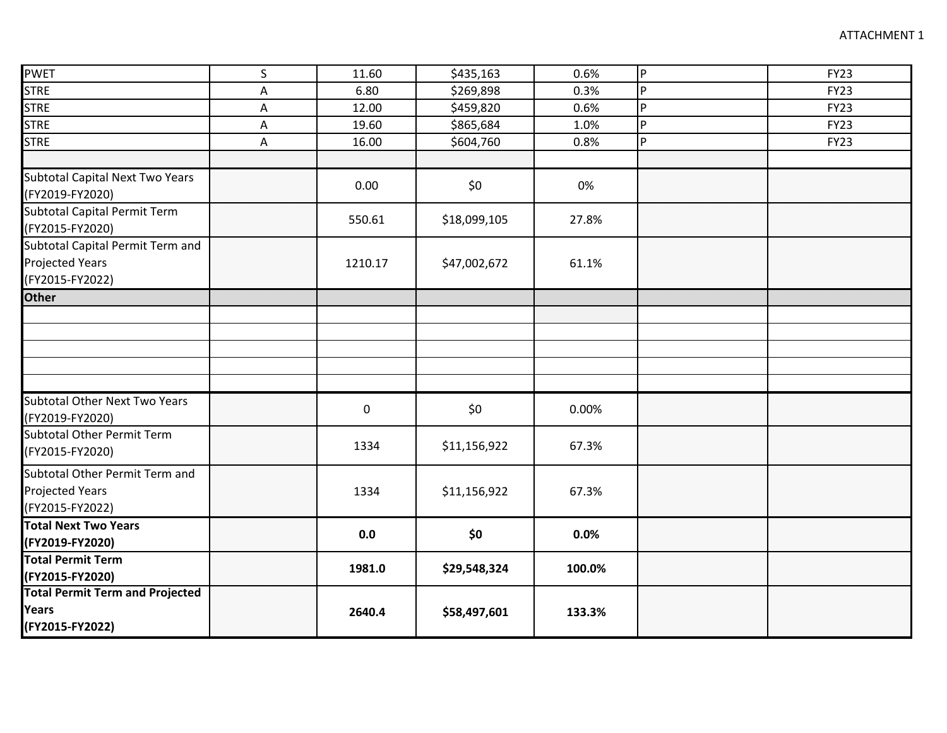| <b>PWET</b>                            | $\mathsf S$ | 11.60       |              | 0.6%   | $\overline{P}$ | <b>FY23</b> |
|----------------------------------------|-------------|-------------|--------------|--------|----------------|-------------|
|                                        |             |             | \$435,163    |        |                |             |
| <b>STRE</b>                            | А           | 6.80        | \$269,898    | 0.3%   | P              | <b>FY23</b> |
| <b>STRE</b>                            | A           | 12.00       | \$459,820    | 0.6%   | P              | <b>FY23</b> |
| <b>STRE</b>                            | A           | 19.60       | \$865,684    | 1.0%   | $\mathsf{P}$   | <b>FY23</b> |
| <b>STRE</b>                            | Α           | 16.00       | \$604,760    | 0.8%   | P              | <b>FY23</b> |
|                                        |             |             |              |        |                |             |
| <b>Subtotal Capital Next Two Years</b> |             | 0.00        | \$0          | 0%     |                |             |
| (FY2019-FY2020)                        |             |             |              |        |                |             |
| Subtotal Capital Permit Term           |             |             |              |        |                |             |
| (FY2015-FY2020)                        |             | 550.61      | \$18,099,105 | 27.8%  |                |             |
| Subtotal Capital Permit Term and       |             |             |              |        |                |             |
| <b>Projected Years</b>                 |             | 1210.17     | \$47,002,672 | 61.1%  |                |             |
| (FY2015-FY2022)                        |             |             |              |        |                |             |
| <b>Other</b>                           |             |             |              |        |                |             |
|                                        |             |             |              |        |                |             |
|                                        |             |             |              |        |                |             |
|                                        |             |             |              |        |                |             |
|                                        |             |             |              |        |                |             |
|                                        |             |             |              |        |                |             |
| <b>Subtotal Other Next Two Years</b>   |             |             |              |        |                |             |
| (FY2019-FY2020)                        |             | $\mathbf 0$ | \$0\$        | 0.00%  |                |             |
| <b>Subtotal Other Permit Term</b>      |             |             |              |        |                |             |
| (FY2015-FY2020)                        |             | 1334        | \$11,156,922 | 67.3%  |                |             |
|                                        |             |             |              |        |                |             |
| Subtotal Other Permit Term and         |             |             |              |        |                |             |
| <b>Projected Years</b>                 |             | 1334        | \$11,156,922 | 67.3%  |                |             |
| (FY2015-FY2022)                        |             |             |              |        |                |             |
| <b>Total Next Two Years</b>            |             | 0.0         | \$0          | 0.0%   |                |             |
| (FY2019-FY2020)                        |             |             |              |        |                |             |
| <b>Total Permit Term</b>               |             | 1981.0      | \$29,548,324 | 100.0% |                |             |
| (FY2015-FY2020)                        |             |             |              |        |                |             |
| <b>Total Permit Term and Projected</b> |             |             |              |        |                |             |
| Years                                  |             | 2640.4      | \$58,497,601 | 133.3% |                |             |
| (FY2015-FY2022)                        |             |             |              |        |                |             |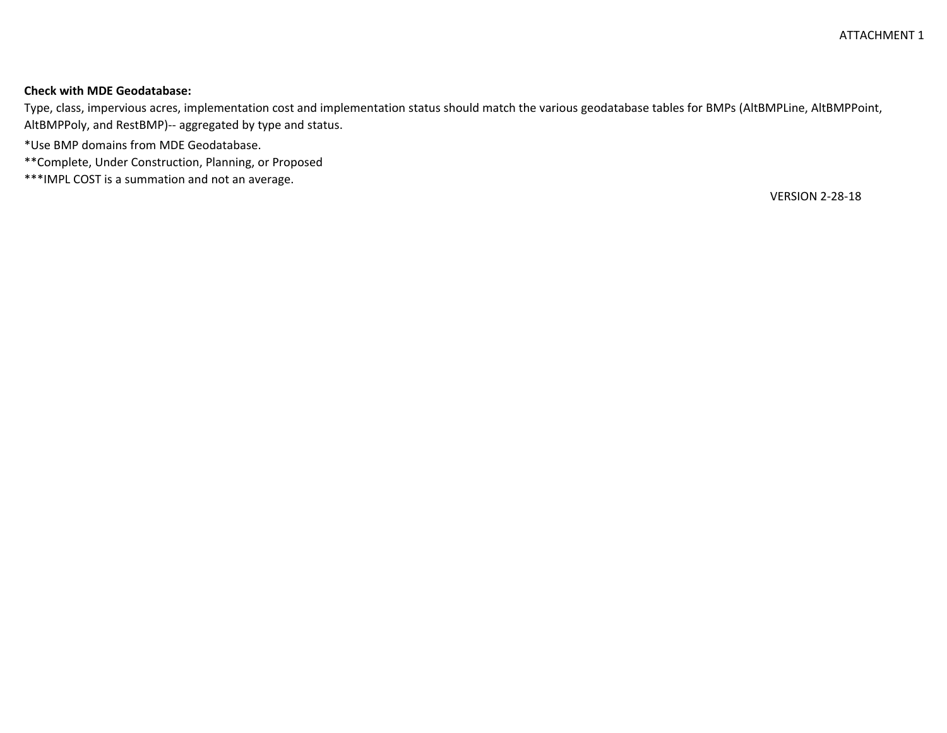# **Check with MDE Geodatabase:**

Type, class, impervious acres, implementation cost and implementation status should match the various geodatabase tables for BMPs (AltBMPLine, AltBMPPoint, AltBMPPoly, and RestBMP)-- aggregated by type and status.

\*Use BMP domains from MDE Geodatabase.

\*\*Complete, Under Construction, Planning, or Proposed

\*\*\*IMPL COST is a summation and not an average.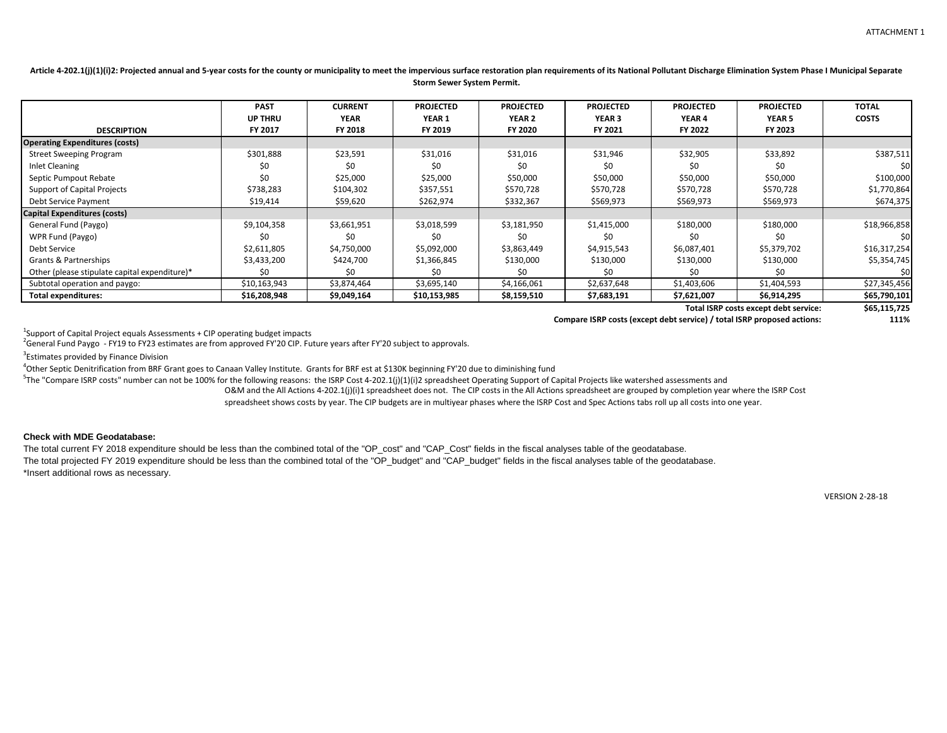O&M and the All Actions 4-202.1(j)(i)1 spreadsheet does not. The CIP costs in the All Actions spreadsheet are grouped by completion year where the ISRP Cost <sup>5</sup>The "Compare ISRP costs" number can not be 100% for the following reasons: the ISRP Cost 4-202.1(j)(1)(i)2 spreadsheet Operating Support of Capital Projects like watershed assessments and

|                                               | <b>PAST</b>    | <b>CURRENT</b> | <b>PROJECTED</b> | <b>PROJECTED</b> | <b>PROJECTED</b> | <b>PROJECTED</b> | <b>PROJECTED</b>                                                        | <b>TOTAL</b>   |
|-----------------------------------------------|----------------|----------------|------------------|------------------|------------------|------------------|-------------------------------------------------------------------------|----------------|
|                                               | <b>UP THRU</b> | <b>YEAR</b>    | <b>YEAR 1</b>    | <b>YEAR 2</b>    | <b>YEAR 3</b>    | <b>YEAR 4</b>    | <b>YEAR 5</b>                                                           | <b>COSTS</b>   |
| <b>DESCRIPTION</b>                            | FY 2017        | <b>FY 2018</b> | FY 2019          | <b>FY 2020</b>   | FY 2021          | FY 2022          | FY 2023                                                                 |                |
| <b>Operating Expenditures (costs)</b>         |                |                |                  |                  |                  |                  |                                                                         |                |
| <b>Street Sweeping Program</b>                | \$301,888      | \$23,591       | \$31,016         | \$31,016         | \$31,946         | \$32,905         | \$33,892                                                                | \$387,511      |
| <b>Inlet Cleaning</b>                         | S0             | S0             | \$0              | \$0              | \$0              | S0               | S0                                                                      | \$0            |
| Septic Pumpout Rebate                         | \$0            | \$25,000       | \$25,000         | \$50,000         | \$50,000         | \$50,000         | \$50,000                                                                | \$100,000      |
| <b>Support of Capital Projects</b>            | \$738,283      | \$104,302      | \$357,551        | \$570,728        | \$570,728        | \$570,728        | \$570,728                                                               | \$1,770,864    |
| Debt Service Payment                          | \$19,414       | \$59,620       | \$262,974        | \$332,367        | \$569,973        | \$569,973        | \$569,973                                                               | \$674,375      |
| <b>Capital Expenditures (costs)</b>           |                |                |                  |                  |                  |                  |                                                                         |                |
| General Fund (Paygo)                          | \$9,104,358    | \$3,661,951    | \$3,018,599      | \$3,181,950      | \$1,415,000      | \$180,000        | \$180,000                                                               | \$18,966,858   |
| WPR Fund (Paygo)                              | \$0            | \$0            | \$0              | \$0              | \$0              | \$0              | \$0                                                                     | \$0            |
| Debt Service                                  | \$2,611,805    | \$4,750,000    | \$5,092,000      | \$3,863,449      | \$4,915,543      | \$6,087,401      | \$5,379,702                                                             | \$16,317,254   |
| Grants & Partnerships                         | \$3,433,200    | \$424,700      | \$1,366,845      | \$130,000        | \$130,000        | \$130,000        | \$130,000                                                               | \$5,354,745    |
| Other (please stipulate capital expenditure)* | Ş0             | S0             | S0               | Ş0               | SO.              | S0               | S0                                                                      | S <sub>0</sub> |
| Subtotal operation and paygo:                 | \$10,163,943   | \$3,874,464    | \$3,695,140      | \$4,166,061      | \$2,637,648      | \$1,403,606      | \$1,404,593                                                             | \$27,345,456   |
| <b>Total expenditures:</b>                    | \$16,208,948   | \$9,049,164    | \$10,153,985     | \$8,159,510      | \$7,683,191      | \$7,621,007      | \$6,914,295                                                             | \$65,790,101   |
|                                               |                |                |                  |                  |                  |                  | Total ISRP costs except debt service:                                   | \$65,115,725   |
|                                               |                |                |                  |                  |                  |                  | Compare ISRP costs (except debt service) / total ISRP proposed actions: | 111%           |

<sup>1</sup>Support of Capital Project equals Assessments + CIP operating budget impacts

<sup>2</sup>General Fund Paygo - FY19 to FY23 estimates are from approved FY'20 CIP. Future years after FY'20 subject to approvals.

<sup>3</sup>Estimates provided by Finance Division

<sup>4</sup>Other Septic Denitrification from BRF Grant goes to Canaan Valley Institute. Grants for BRF est at \$130K beginning FY'20 due to diminishing fund

Article 4-202.1(j)(1)(i)2: Projected annual and 5-year costs for the county or municipality to meet the impervious surface restoration plan requirements of its National Pollutant Discharge Elimination System Phase I Munici **Storm Sewer System Permit.**

spreadsheet shows costs by year. The CIP budgets are in multiyear phases where the ISRP Cost and Spec Actions tabs roll up all costs into one year.

# **Check with MDE Geodatabase:**

The total current FY 2018 expenditure should be less than the combined total of the "OP\_cost" and "CAP\_Cost" fields in the fiscal analyses table of the geodatabase. The total projected FY 2019 expenditure should be less than the combined total of the "OP\_budget" and "CAP\_budget" fields in the fiscal analyses table of the geodatabase. \*Insert additional rows as necessary.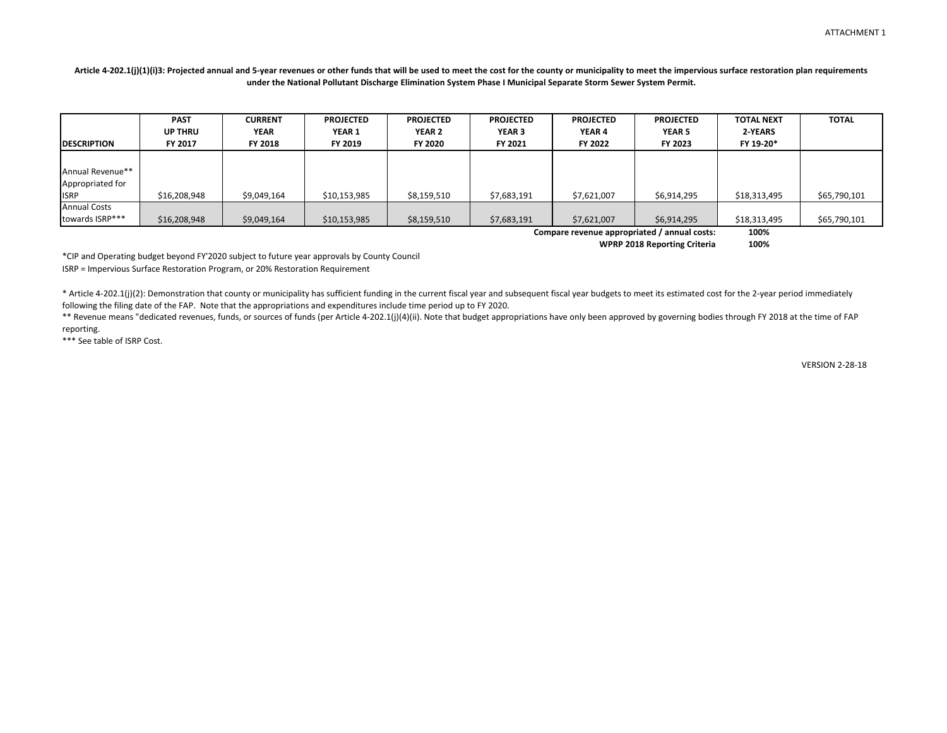# Article 4-202.1(j)(1)(i)3: Projected annual and 5-year revenues or other funds that will be used to meet the cost for the county or municipality to meet the impervious surface restoration plan requirements **under the National Pollutant Discharge Elimination System Phase I Municipal Separate Storm Sewer System Permit.**

| <b>DESCRIPTION</b>                                  | <b>PAST</b><br><b>UP THRU</b><br>FY 2017 | <b>CURRENT</b><br><b>YEAR</b><br><b>FY 2018</b> | <b>PROJECTED</b><br><b>YEAR 1</b><br>FY 2019 | <b>PROJECTED</b><br><b>YEAR 2</b><br>FY 2020 | <b>PROJECTED</b><br><b>YEAR 3</b><br>FY 2021 | <b>PROJECTED</b><br>YEAR 4<br><b>FY 2022</b>                | <b>PROJECTED</b><br><b>YEAR 5</b><br><b>FY 2023</b> | <b>TOTAL NEXT</b><br>2-YEARS<br>FY 19-20* | <b>TOTAL</b> |
|-----------------------------------------------------|------------------------------------------|-------------------------------------------------|----------------------------------------------|----------------------------------------------|----------------------------------------------|-------------------------------------------------------------|-----------------------------------------------------|-------------------------------------------|--------------|
| Annual Revenue**<br>Appropriated for<br><b>ISRP</b> | \$16,208,948                             | \$9,049,164                                     | \$10,153,985                                 | \$8,159,510                                  | \$7,683,191                                  | \$7,621,007                                                 | \$6,914,295                                         | \$18,313,495                              | \$65,790,101 |
| <b>Annual Costs</b><br>towards ISRP***              | \$16,208,948                             | \$9,049,164                                     | \$10,153,985                                 | \$8,159,510                                  | \$7,683,191                                  | \$7,621,007<br>Compare revenue appropriated / annual costs: | \$6,914,295                                         | \$18,313,495<br>100%                      | \$65,790,101 |

**WPRP 2018 Reporting Criteria 100%**

\*CIP and Operating budget beyond FY'2020 subject to future year approvals by County Council ISRP = Impervious Surface Restoration Program, or 20% Restoration Requirement

\* Article 4-202.1(j)(2): Demonstration that county or municipality has sufficient funding in the current fiscal year and subsequent fiscal year budgets to meet its estimated cost for the 2-year period immediately following the filing date of the FAP. Note that the appropriations and expenditures include time period up to FY 2020.

\*\* Revenue means "dedicated revenues, funds, or sources of funds (per Article 4-202.1(j)(4)(ii). Note that budget appropriations have only been approved by governing bodies through FY 2018 at the time of FAP reporting.

\*\*\* See table of ISRP Cost.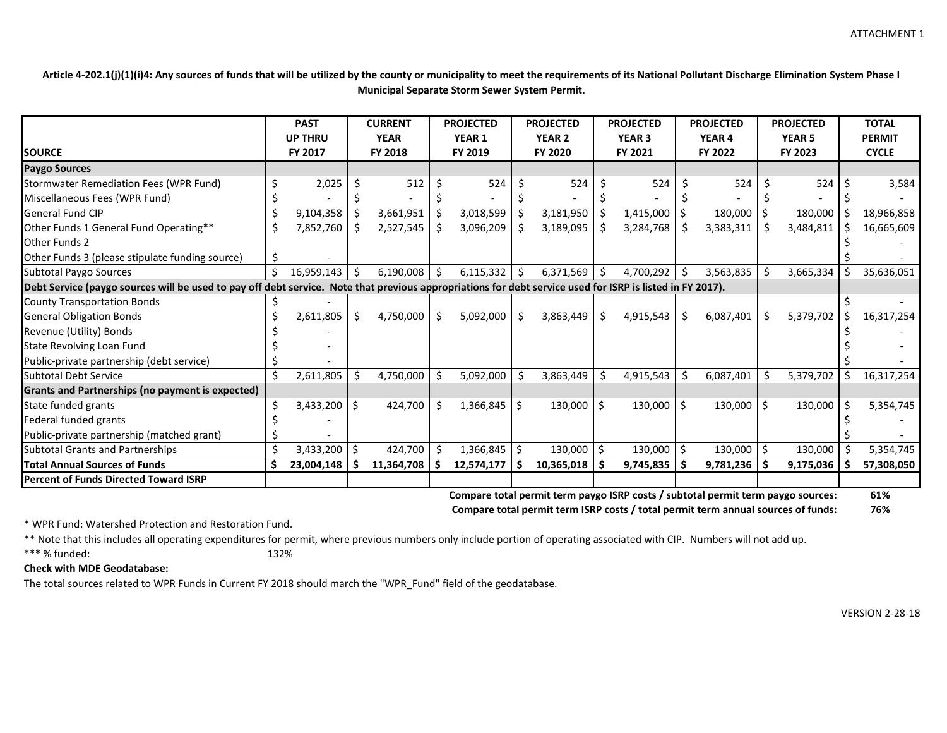**Article 4-202.1(j)(1)(i)4: Any sources of funds that will be utilized by the county or municipality to meet the requirements of its National Pollutant Discharge Elimination System Phase I Municipal Separate Storm Sewer System Permit.**

|                                                         | <b>PAST</b><br><b>UP THRU</b> |                                                                                                                                                           |    | <b>CURRENT</b><br><b>YEAR</b> | <b>PROJECTED</b><br>YEAR 1 |                  | <b>PROJECTED</b><br><b>YEAR 2</b> |              |               | <b>PROJECTED</b><br><b>YEAR 3</b> | <b>PROJECTED</b><br><b>YEAR 4</b> |                | <b>PROJECTED</b><br><b>YEAR 5</b> |                | <b>TOTAL</b><br><b>PERMIT</b> |            |
|---------------------------------------------------------|-------------------------------|-----------------------------------------------------------------------------------------------------------------------------------------------------------|----|-------------------------------|----------------------------|------------------|-----------------------------------|--------------|---------------|-----------------------------------|-----------------------------------|----------------|-----------------------------------|----------------|-------------------------------|------------|
| <b>SOURCE</b>                                           |                               | FY 2017                                                                                                                                                   |    | FY 2018                       |                            | FY 2019          | FY 2020                           |              | FY 2021       |                                   | FY 2022                           |                | FY 2023                           |                | <b>CYCLE</b>                  |            |
| <b>Paygo Sources</b>                                    |                               |                                                                                                                                                           |    |                               |                            |                  |                                   |              |               |                                   |                                   |                |                                   |                |                               |            |
| <b>Stormwater Remediation Fees (WPR Fund)</b>           |                               | 2,025                                                                                                                                                     |    | 512                           |                            | 524              |                                   | 524          |               | 524                               |                                   | 524            |                                   | 524            |                               | 3,584      |
| Miscellaneous Fees (WPR Fund)                           |                               |                                                                                                                                                           |    |                               |                            |                  |                                   |              |               |                                   |                                   |                |                                   |                |                               |            |
| <b>General Fund CIP</b>                                 |                               | 9,104,358                                                                                                                                                 |    | 3,661,951                     |                            | 3,018,599        |                                   | 3,181,950    |               | 1,415,000                         |                                   | 180,000        |                                   | 180,000        |                               | 18,966,858 |
| Other Funds 1 General Fund Operating**                  |                               | 7,852,760                                                                                                                                                 | -S | 2,527,545                     | S                          | 3,096,209        |                                   | 3,189,095    | -Ş            | 3,284,768                         |                                   | 3,383,311      |                                   | 3,484,811      |                               | 16,665,609 |
| <b>Other Funds 2</b>                                    |                               |                                                                                                                                                           |    |                               |                            |                  |                                   |              |               |                                   |                                   |                |                                   |                |                               |            |
| Other Funds 3 (please stipulate funding source)         |                               |                                                                                                                                                           |    |                               |                            |                  |                                   |              |               |                                   |                                   |                |                                   |                |                               |            |
| <b>Subtotal Paygo Sources</b>                           |                               | $16,959,143$ \$                                                                                                                                           |    | 6,190,008                     | -\$                        | $6,115,332$ \$   |                                   | 6,371,569    | -\$           | 4,700,292                         | \$                                | 3,563,835      |                                   | 3,665,334      |                               | 35,636,051 |
|                                                         |                               | Debt Service (paygo sources will be used to pay off debt service. Note that previous appropriations for debt service used for ISRP is listed in FY 2017). |    |                               |                            |                  |                                   |              |               |                                   |                                   |                |                                   |                |                               |            |
| <b>County Transportation Bonds</b>                      |                               |                                                                                                                                                           |    |                               |                            |                  |                                   |              |               |                                   |                                   |                |                                   |                |                               |            |
| <b>General Obligation Bonds</b>                         |                               | 2,611,805                                                                                                                                                 | \$ | 4,750,000                     | Ŝ.                         | 5,092,000        | Ŝ.                                | 3,863,449    | $\ddot{\phi}$ | 4,915,543                         | \$                                | 6,087,401      | S.                                | 5,379,702      | S                             | 16,317,254 |
| Revenue (Utility) Bonds                                 |                               |                                                                                                                                                           |    |                               |                            |                  |                                   |              |               |                                   |                                   |                |                                   |                |                               |            |
| <b>State Revolving Loan Fund</b>                        |                               |                                                                                                                                                           |    |                               |                            |                  |                                   |              |               |                                   |                                   |                |                                   |                |                               |            |
| Public-private partnership (debt service)               |                               |                                                                                                                                                           |    |                               |                            |                  |                                   |              |               |                                   |                                   |                |                                   |                |                               |            |
| <b>Subtotal Debt Service</b>                            |                               | 2,611,805                                                                                                                                                 | S. | 4,750,000                     | \$                         | 5,092,000        | Ŝ.                                | 3,863,449    | \$            | 4,915,543                         | \$                                | 6,087,401      |                                   | 5,379,702      |                               | 16,317,254 |
| <b>Grants and Partnerships (no payment is expected)</b> |                               |                                                                                                                                                           |    |                               |                            |                  |                                   |              |               |                                   |                                   |                |                                   |                |                               |            |
| State funded grants                                     |                               | $3,433,200$   \$                                                                                                                                          |    | 424,700                       | -Ś                         | 1,366,845        | l \$                              | $130,000$ \$ |               | $130,000$   \$                    |                                   | $130,000$   \$ |                                   | $130,000$   \$ |                               | 5,354,745  |
| Federal funded grants                                   |                               |                                                                                                                                                           |    |                               |                            |                  |                                   |              |               |                                   |                                   |                |                                   |                |                               |            |
| Public-private partnership (matched grant)              |                               |                                                                                                                                                           |    |                               |                            |                  |                                   |              |               |                                   |                                   |                |                                   |                |                               |            |
| <b>Subtotal Grants and Partnerships</b>                 |                               | 3,433,200                                                                                                                                                 | \$ | 424,700                       |                            | $1,366,845$   \$ |                                   | 130,000      | S,            | 130,000                           |                                   | 130,000        |                                   | 130,000        |                               | 5,354,745  |
| <b>Total Annual Sources of Funds</b>                    |                               | 23,004,148                                                                                                                                                |    | 11,364,708                    |                            | 12,574,177       | -S                                | 10,365,018   |               | 9,745,835                         |                                   | 9,781,236      |                                   | 9,175,036      |                               | 57,308,050 |
| Percent of Funds Directed Toward ISRP                   |                               |                                                                                                                                                           |    |                               |                            |                  |                                   |              |               |                                   |                                   |                |                                   |                |                               |            |

**Compare total permit term paygo ISRP costs / subtotal permit term paygo sources: 61%**

**Compare total permit term ISRP costs / total permit term annual sources of funds: 76%**

\* WPR Fund: Watershed Protection and Restoration Fund.

\*\* Note that this includes all operating expenditures for permit, where previous numbers only include portion of operating associated with CIP. Numbers will not add up. \*\*\* % funded: 132%

### **Check with MDE Geodatabase:**

The total sources related to WPR Funds in Current FY 2018 should march the "WPR\_Fund" field of the geodatabase.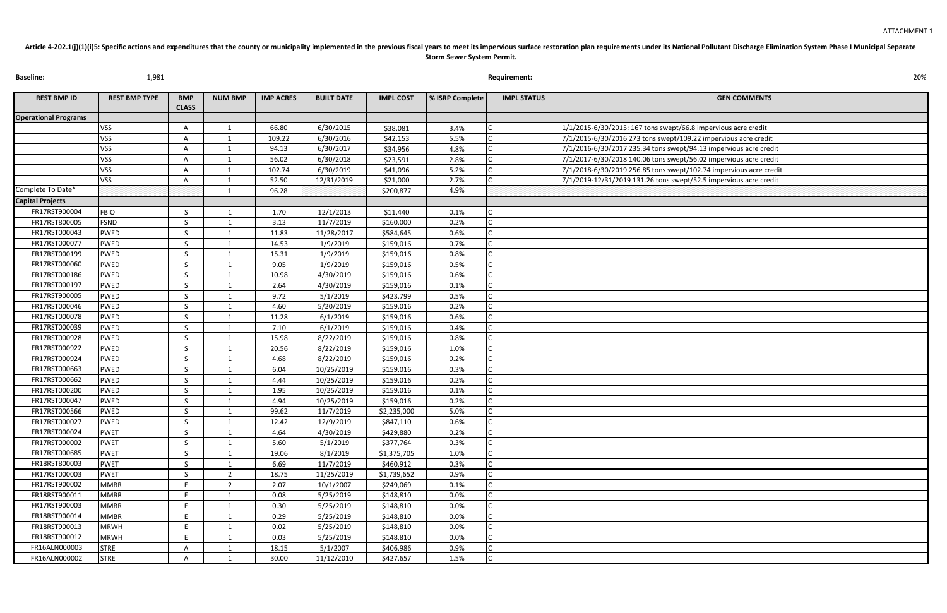| <b>GEN COMMENTS</b>                             |
|-------------------------------------------------|
|                                                 |
| : 167 tons swept/66.8 impervious acre credit    |
| 273 tons swept/109.22 impervious acre credit    |
| 235.34 tons swept/94.13 impervious acre credit  |
| 140.06 tons swept/56.02 impervious acre credit  |
| 256.85 tons swept/102.74 impervious acre credit |
| 9 131.26 tons swept/52.5 impervious acre credit |
|                                                 |
|                                                 |
|                                                 |
|                                                 |
|                                                 |
|                                                 |
|                                                 |
|                                                 |
|                                                 |
|                                                 |
|                                                 |
|                                                 |
|                                                 |
|                                                 |
|                                                 |
|                                                 |
|                                                 |
|                                                 |
|                                                 |
|                                                 |
|                                                 |
|                                                 |
|                                                 |
|                                                 |
|                                                 |
|                                                 |
|                                                 |
|                                                 |
|                                                 |
|                                                 |
|                                                 |
|                                                 |
|                                                 |
|                                                 |
|                                                 |
|                                                 |
|                                                 |

| <b>Baseline:</b>                         | 1,981                |              |                |                  |                   | 20%              |                 |                    |                                                                    |  |
|------------------------------------------|----------------------|--------------|----------------|------------------|-------------------|------------------|-----------------|--------------------|--------------------------------------------------------------------|--|
| <b>REST BMP ID</b>                       | <b>REST BMP TYPE</b> | <b>BMP</b>   | <b>NUM BMP</b> | <b>IMP ACRES</b> | <b>BUILT DATE</b> | <b>IMPL COST</b> | % ISRP Complete | <b>IMPL STATUS</b> | <b>GEN COMMENTS</b>                                                |  |
|                                          |                      | <b>CLASS</b> |                |                  |                   |                  |                 |                    |                                                                    |  |
| <b>Operational Programs</b>              |                      |              |                |                  |                   |                  |                 |                    |                                                                    |  |
|                                          | <b>VSS</b>           |              |                | 66.80            | 6/30/2015         | \$38,081         | 3.4%            |                    | 1/1/2015-6/30/2015: 167 tons swept/66.8 impervious acre credit     |  |
|                                          | <b>VSS</b>           |              |                | 109.22           | 6/30/2016         | \$42,153         | 5.5%            |                    | 7/1/2015-6/30/2016 273 tons swept/109.22 impervious acre credit    |  |
|                                          | <b>VSS</b>           |              |                | 94.13            | 6/30/2017         | \$34,956         | 4.8%            |                    | 7/1/2016-6/30/2017 235.34 tons swept/94.13 impervious acre credit  |  |
|                                          | <b>VSS</b>           | A            |                | 56.02            | 6/30/2018         | \$23,591         | 2.8%            |                    | 7/1/2017-6/30/2018 140.06 tons swept/56.02 impervious acre credit  |  |
|                                          | <b>VSS</b>           |              |                | 102.74           | 6/30/2019         | \$41,096         | 5.2%            |                    | 7/1/2018-6/30/2019 256.85 tons swept/102.74 impervious acre credit |  |
| Complete To Date*                        | <b>VSS</b>           | A            |                | 52.50            | 12/31/2019        | \$21,000         | 2.7%            |                    | 7/1/2019-12/31/2019 131.26 tons swept/52.5 impervious acre credit  |  |
|                                          |                      |              |                | 96.28            |                   | \$200,877        | 4.9%            |                    |                                                                    |  |
| <b>Capital Projects</b><br>FR17RST900004 |                      |              |                |                  |                   |                  |                 |                    |                                                                    |  |
| FR17RST800005                            | <b>FBIO</b>          | S.           |                | 1.70             | 12/1/2013         | \$11,440         | 0.1%            |                    |                                                                    |  |
|                                          | <b>FSND</b>          | S.           |                | 3.13             | 11/7/2019         | \$160,000        | 0.2%            |                    |                                                                    |  |
| FR17RST000043                            | <b>PWED</b>          |              |                | 11.83            | 11/28/2017        | \$584,645        | 0.6%            |                    |                                                                    |  |
| FR17RST000077                            | PWED                 | $\varsigma$  |                | 14.53            | 1/9/2019          | \$159,016        | 0.7%            |                    |                                                                    |  |
| FR17RST000199                            | PWED                 | $\varsigma$  |                | 15.31            | 1/9/2019          | \$159,016        | 0.8%            |                    |                                                                    |  |
| FR17RST000060                            | <b>PWED</b>          | <sup>S</sup> |                | 9.05             | 1/9/2019          | \$159,016        | 0.5%            |                    |                                                                    |  |
| FR17RST000186                            | <b>PWED</b>          |              |                | 10.98            | 4/30/2019         | \$159,016        | 0.6%            |                    |                                                                    |  |
| FR17RST000197                            | PWED                 | S.           |                | 2.64             | 4/30/2019         | \$159,016        | 0.1%            |                    |                                                                    |  |
| FR17RST900005                            | PWED                 |              |                | 9.72             | 5/1/2019          | \$423,799        | 0.5%            |                    |                                                                    |  |
| FR17RST000046                            | <b>PWED</b>          |              |                | 4.60             | 5/20/2019         | \$159,016        | 0.2%            |                    |                                                                    |  |
| FR17RST000078                            | PWED                 |              |                | 11.28            | 6/1/2019          | \$159,016        | 0.6%            |                    |                                                                    |  |
| FR17RST000039                            | <b>PWED</b>          | <sup>S</sup> |                | 7.10             | 6/1/2019          | \$159,016        | 0.4%            |                    |                                                                    |  |
| FR17RST000928                            | <b>PWED</b>          |              |                | 15.98            | 8/22/2019         | \$159,016        | 0.8%            |                    |                                                                    |  |
| FR17RST000922                            | <b>PWED</b>          |              |                | 20.56            | 8/22/2019         | \$159,016        | 1.0%            |                    |                                                                    |  |
| FR17RST000924                            | PWED                 |              |                | 4.68             | 8/22/2019         | \$159,016        | 0.2%            |                    |                                                                    |  |
| FR17RST000663                            | <b>PWED</b>          |              |                | 6.04             | 10/25/2019        | \$159,016        | 0.3%            |                    |                                                                    |  |
| FR17RST000662                            | <b>PWED</b>          |              |                | 4.44             | 10/25/2019        | \$159,016        | 0.2%            |                    |                                                                    |  |
| FR17RST000200                            | <b>PWED</b>          | S.           | -1             | 1.95             | 10/25/2019        | \$159,016        | 0.1%            |                    |                                                                    |  |
| FR17RST000047                            | PWED                 |              |                | 4.94             | 10/25/2019        | \$159,016        | 0.2%            |                    |                                                                    |  |
| FR17RST000566                            | <b>PWED</b>          | S.           |                | 99.62            | 11/7/2019         | \$2,235,000      | 5.0%            |                    |                                                                    |  |
| FR17RST000027                            | PWED                 |              |                | 12.42            | 12/9/2019         | \$847,110        | 0.6%            |                    |                                                                    |  |
| FR17RST000024                            | <b>PWET</b>          |              |                | 4.64             | 4/30/2019         | \$429,880        | 0.2%            |                    |                                                                    |  |
| FR17RST000002                            | <b>PWET</b>          |              |                | 5.60             | 5/1/2019          | \$377,764        | 0.3%            |                    |                                                                    |  |
| FR17RST000685                            | <b>PWET</b>          |              |                | 19.06            | 8/1/2019          | \$1,375,705      | 1.0%            |                    |                                                                    |  |
| FR18RST800003                            | <b>PWET</b>          |              |                | 6.69             | 11/7/2019         | \$460,912        | 0.3%            |                    |                                                                    |  |
| FR17RST000003                            | <b>PWET</b>          |              | $\overline{2}$ | 18.75            | 11/25/2019        | \$1,739,652      | 0.9%            |                    |                                                                    |  |
| FR17RST900002                            | <b>MMBR</b>          |              | ຳ              | 2.07             | 10/1/2007         | \$249,069        | 0.1%            |                    |                                                                    |  |
| FR18RST900011                            | <b>MMBR</b>          |              |                | 0.08             | 5/25/2019         | \$148,810        | 0.0%            |                    |                                                                    |  |
| FR17RST900003                            | <b>MMBR</b>          |              |                | 0.30             | 5/25/2019         | \$148,810        | 0.0%            |                    |                                                                    |  |
| FR18RST900014                            | <b>MMBR</b>          |              |                | 0.29             | 5/25/2019         | \$148,810        | 0.0%            |                    |                                                                    |  |
| FR18RST900013                            | <b>MRWH</b>          |              |                | 0.02             | 5/25/2019         | \$148,810        | 0.0%            |                    |                                                                    |  |
| FR18RST900012                            | <b>MRWH</b>          |              |                | 0.03             | 5/25/2019         | \$148,810        | 0.0%            |                    |                                                                    |  |
| FR16ALN000003                            | <b>STRE</b>          |              |                | 18.15            | 5/1/2007          | \$406,986        | 0.9%            |                    |                                                                    |  |

FR16ALN000002 STRE A 1 30.00 11/12/2010 \$427,657 1.5%

Article 4-202.1(j)(1)(i)5: Specific actions and expenditures that the county or municipality implemented in the previous fiscal years to meet its impervious surface restoration plan requirements under its National Pollutan **Storm Sewer System Permit.**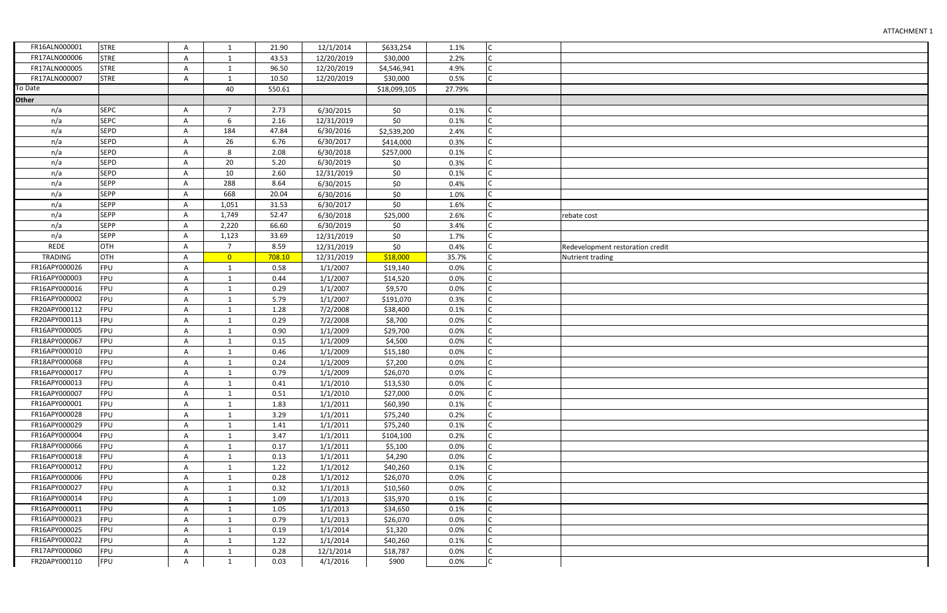| oration credit |
|----------------|
|                |
|                |
|                |
|                |
|                |
|                |
|                |
|                |
|                |
|                |
|                |
|                |
|                |
|                |
|                |
|                |
|                |
|                |
|                |
|                |
|                |
|                |
|                |
|                |
|                |
|                |
|                |
|                |
|                |
|                |
|                |
|                |
|                |
|                |
|                |
|                |
|                |
|                |
|                |
|                |
|                |
|                |

| FR16ALN000001  | <b>STRE</b> | Α | $\mathbf{1}$   | 21.90  | 12/1/2014  | \$633,254    | 1.1%   | C |                                  |
|----------------|-------------|---|----------------|--------|------------|--------------|--------|---|----------------------------------|
| FR17ALN000006  | <b>STRE</b> | Α | $\mathbf{1}$   | 43.53  | 12/20/2019 | \$30,000     | 2.2%   | C |                                  |
| FR17ALN000005  | <b>STRE</b> | Α | 1              | 96.50  | 12/20/2019 | \$4,546,941  | 4.9%   | C |                                  |
| FR17ALN000007  | <b>STRE</b> | Α | $\mathbf{1}$   | 10.50  | 12/20/2019 | \$30,000     | 0.5%   | C |                                  |
| To Date        |             |   | 40             | 550.61 |            | \$18,099,105 | 27.79% |   |                                  |
| <b>Other</b>   |             |   |                |        |            |              |        |   |                                  |
| n/a            | <b>SEPC</b> | Α | $\overline{7}$ | 2.73   | 6/30/2015  | \$0          | 0.1%   |   |                                  |
| n/a            | <b>SEPC</b> | А | 6              | 2.16   | 12/31/2019 | \$0          | 0.1%   |   |                                  |
| n/a            | <b>SEPD</b> | А | 184            | 47.84  | 6/30/2016  | \$2,539,200  | 2.4%   |   |                                  |
| n/a            | <b>SEPD</b> | А | 26             | 6.76   | 6/30/2017  | \$414,000    | 0.3%   | C |                                  |
| n/a            | <b>SEPD</b> | A | 8              | 2.08   | 6/30/2018  | \$257,000    | 0.1%   |   |                                  |
| n/a            | <b>SEPD</b> | Α | 20             | 5.20   | 6/30/2019  | \$0          | 0.3%   |   |                                  |
| n/a            | <b>SEPD</b> | А | 10             | 2.60   | 12/31/2019 | \$0          | 0.1%   |   |                                  |
| n/a            | <b>SEPP</b> | А | 288            | 8.64   | 6/30/2015  | \$0          | 0.4%   | C |                                  |
| n/a            | <b>SEPP</b> | А | 668            | 20.04  | 6/30/2016  | \$0          | 1.0%   |   |                                  |
| n/a            | <b>SEPP</b> | Α | 1,051          | 31.53  | 6/30/2017  | \$0          | 1.6%   |   |                                  |
| n/a            | <b>SEPP</b> | А | 1,749          | 52.47  | 6/30/2018  | \$25,000     | 2.6%   |   | rebate cost                      |
| n/a            | <b>SEPP</b> | А | 2,220          | 66.60  | 6/30/2019  | \$0          | 3.4%   | C |                                  |
| n/a            | <b>SEPP</b> | А | 1,123          | 33.69  | 12/31/2019 | \$0          | 1.7%   |   |                                  |
| <b>REDE</b>    | <b>OTH</b>  | А | $\overline{7}$ | 8.59   | 12/31/2019 | \$0          | 0.4%   |   | Redevelopment restoration credit |
| <b>TRADING</b> | <b>OTH</b>  | А | $\overline{0}$ | 708.10 | 12/31/2019 | \$18,000     | 35.7%  |   | Nutrient trading                 |
| FR16APY000026  | FPU         | Α | $\mathbf{1}$   | 0.58   | 1/1/2007   | \$19,140     | 0.0%   |   |                                  |
| FR16APY000003  | FPU         | Α | $\mathbf{1}$   | 0.44   | 1/1/2007   | \$14,520     | 0.0%   |   |                                  |
| FR16APY000016  | FPU         | Α | $\mathbf{1}$   | 0.29   | 1/1/2007   | \$9,570      | 0.0%   |   |                                  |
| FR16APY000002  | FPU         | Α | 1              | 5.79   | 1/1/2007   | \$191,070    | 0.3%   |   |                                  |
| FR20APY000112  | FPU         | Α | $\mathbf{1}$   | 1.28   | 7/2/2008   | \$38,400     | 0.1%   | Ċ |                                  |
| FR20APY000113  | FPU         | A | $\mathbf{1}$   | 0.29   | 7/2/2008   | \$8,700      | 0.0%   |   |                                  |
| FR16APY000005  | FPU         | Α | $\mathbf{1}$   | 0.90   | 1/1/2009   | \$29,700     | 0.0%   |   |                                  |
| FR18APY000067  | <b>FPU</b>  | А | $\mathbf{1}$   | 0.15   | 1/1/2009   | \$4,500      | 0.0%   |   |                                  |
| FR16APY000010  | FPU         | А | $\mathbf{1}$   | 0.46   | 1/1/2009   | \$15,180     | 0.0%   |   |                                  |
| FR18APY000068  | <b>FPU</b>  | A | 1              | 0.24   | 1/1/2009   | \$7,200      | 0.0%   | Ċ |                                  |
| FR16APY000017  | FPU         | Α | $\mathbf{1}$   | 0.79   | 1/1/2009   | \$26,070     | 0.0%   | Ċ |                                  |
| FR16APY000013  | FPU         | A | $\mathbf{1}$   | 0.41   | 1/1/2010   | \$13,530     | 0.0%   |   |                                  |
| FR16APY000007  | FPU         | Α | $\mathbf{1}$   | 0.51   | 1/1/2010   | \$27,000     | 0.0%   | Ċ |                                  |
| FR16APY000001  | FPU         | A | 1              | 1.83   | 1/1/2011   | \$60,390     | 0.1%   | C |                                  |
| FR16APY000028  | <b>FPU</b>  | Α | 1              | 3.29   | 1/1/2011   | \$75,240     | 0.2%   | C |                                  |
| FR16APY000029  | FPU         | A | 1              | 1.41   | 1/1/2011   | \$75,240     | 0.1%   |   |                                  |
| FR16APY000004  | FPU         | Α | $\mathbf{1}$   | 3.47   | 1/1/2011   | \$104,100    | 0.2%   | С |                                  |
| FR18APY000066  | <b>FPU</b>  | A | $\mathbf{1}$   | 0.17   | 1/1/2011   | \$5,100      | 0.0%   | C |                                  |
| FR16APY000018  | FPU         | Α | 1              | 0.13   | 1/1/2011   | \$4,290      | 0.0%   | C |                                  |
| FR16APY000012  | <b>FPU</b>  | Α | 1              | 1.22   | 1/1/2012   | \$40,260     | 0.1%   |   |                                  |
| FR16APY000006  | FPU         | Α | 1              | 0.28   | 1/1/2012   | \$26,070     | 0.0%   | C |                                  |
| FR16APY000027  | <b>FPU</b>  | A | 1              | 0.32   | 1/1/2013   | \$10,560     | 0.0%   | Ċ |                                  |
| FR16APY000014  | <b>FPU</b>  | Α |                | 1.09   | 1/1/2013   | \$35,970     | 0.1%   |   |                                  |
| FR16APY000011  | <b>FPU</b>  | A | 1              | 1.05   | 1/1/2013   | \$34,650     | 0.1%   |   |                                  |
| FR16APY000023  | <b>FPU</b>  | Α | $\mathbf{1}$   | 0.79   | 1/1/2013   | \$26,070     | 0.0%   | C |                                  |
| FR16APY000025  | FPU         | A | $\mathbf{1}$   | 0.19   | 1/1/2014   | \$1,320      | 0.0%   | C |                                  |
| FR16APY000022  | <b>FPU</b>  | A | $\mathbf{1}$   | 1.22   | 1/1/2014   | \$40,260     | 0.1%   | C |                                  |
| FR17APY000060  | <b>FPU</b>  | A | $\mathbf{1}$   | 0.28   | 12/1/2014  | \$18,787     | 0.0%   | C |                                  |
| FR20APY000110  | FPU         | A | $\mathbf{1}$   | 0.03   | 4/1/2016   | \$900        | 0.0%   | C |                                  |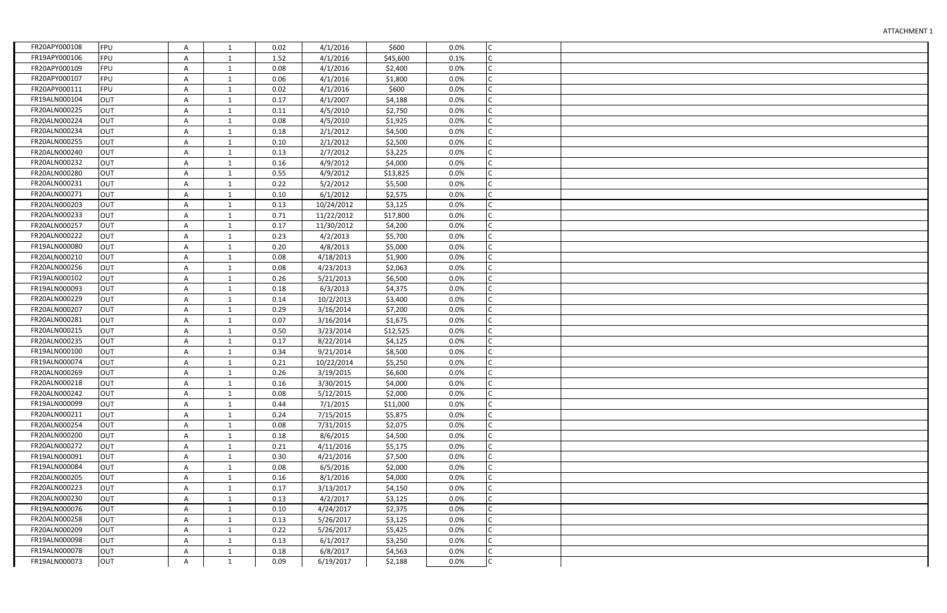| FR20APY000108 | FPU        | A | 1            | 0.02 | 4/1/2016   | \$600    | 0.0% | Iс           |  |
|---------------|------------|---|--------------|------|------------|----------|------|--------------|--|
| FR19APY000106 | <b>FPU</b> | Α | 1            | 1.52 | 4/1/2016   | \$45,600 | 0.1% | lc           |  |
| FR20APY000109 | FPU        | A | $\mathbf{1}$ | 0.08 | 4/1/2016   | \$2,400  | 0.0% |              |  |
| FR20APY000107 | <b>FPU</b> | Α | 1            | 0.06 | 4/1/2016   | \$1,800  | 0.0% | Iс           |  |
| FR20APY000111 | FPU        | A | $\mathbf{1}$ | 0.02 | 4/1/2016   | \$600    | 0.0% | lc           |  |
| FR19ALN000104 | <b>OUT</b> | Α | $\mathbf{1}$ | 0.17 | 4/1/2007   | \$4,188  | 0.0% | lC.          |  |
| FR20ALN000225 | OUT        | A | $\mathbf{1}$ | 0.11 | 4/5/2010   | \$2,750  | 0.0% | Iс           |  |
| FR20ALN000224 | <b>OUT</b> | A | 1            | 0.08 | 4/5/2010   | \$1,925  | 0.0% | lc           |  |
| FR20ALN000234 | OUT        | A | $\mathbf{1}$ | 0.18 | 2/1/2012   | \$4,500  | 0.0% | lc           |  |
| FR20ALN000255 | <b>OUT</b> | Α | 1            | 0.10 | 2/1/2012   | \$2,500  | 0.0% | lc           |  |
| FR20ALN000240 | OUT        | A | $\mathbf{1}$ | 0.13 | 2/7/2012   | \$3,225  | 0.0% | Iс           |  |
| FR20ALN000232 | <b>OUT</b> | A | 1            | 0.16 | 4/9/2012   | \$4,000  | 0.0% | lc           |  |
| FR20ALN000280 | OUT        | A | $\mathbf{1}$ | 0.55 | 4/9/2012   | \$13,825 | 0.0% | lc           |  |
| FR20ALN000231 | <b>OUT</b> | A | 1            | 0.22 | 5/2/2012   | \$5,500  | 0.0% | lc           |  |
| FR20ALN000271 | OUT        | A | $\mathbf{1}$ | 0.10 | 6/1/2012   | \$2,575  | 0.0% | Iс           |  |
| FR20ALN000203 | <b>OUT</b> | A | 1            | 0.13 | 10/24/2012 | \$3,125  | 0.0% |              |  |
| FR20ALN000233 | OUT        | Α | $\mathbf{1}$ | 0.71 | 11/22/2012 | \$17,800 | 0.0% |              |  |
| FR20ALN000257 | <b>OUT</b> | Α | $\mathbf{1}$ | 0.17 | 11/30/2012 | \$4,200  | 0.0% | Iс           |  |
| FR20ALN000222 | OUT        | Α | 1            | 0.23 | 4/2/2013   | \$5,700  | 0.0% |              |  |
| FR19ALN000080 | <b>OUT</b> | A | 1            | 0.20 | 4/8/2013   | \$5,000  | 0.0% |              |  |
| FR20ALN000210 | OUT        | Α | $\mathbf{1}$ | 0.08 | 4/18/2013  | \$1,900  | 0.0% |              |  |
| FR20ALN000256 | OUT        | Α | $\mathbf{1}$ | 0.08 | 4/23/2013  | \$2,063  | 0.0% | $\mathsf{C}$ |  |
| FR19ALN000102 | OUT        | A | 1            | 0.26 | 5/21/2013  | \$6,500  | 0.0% |              |  |
| FR19ALN000093 | <b>OUT</b> | A | 1            | 0.18 | 6/3/2013   | \$4,375  | 0.0% |              |  |
| FR20ALN000229 | <b>OUT</b> | A | $\mathbf{1}$ | 0.14 | 10/2/2013  | \$3,400  | 0.0% | $\mathsf{C}$ |  |
| FR20ALN000207 | OUT        | A | $\mathbf{1}$ | 0.29 | 3/16/2014  | \$7,200  | 0.0% | $\mathsf{C}$ |  |
| FR20ALN000281 | <b>OUT</b> | A | 1            | 0.07 | 3/16/2014  | \$1,675  | 0.0% |              |  |
| FR20ALN000215 | <b>OUT</b> | Α | $\mathbf{1}$ | 0.50 | 3/23/2014  | \$12,525 | 0.0% |              |  |
| FR20ALN000235 | <b>OUT</b> | Α | $\mathbf{1}$ | 0.17 | 8/22/2014  | \$4,125  | 0.0% | $\mathsf{C}$ |  |
| FR19ALN000100 | <b>OUT</b> | Α | $\mathbf{1}$ | 0.34 | 9/21/2014  | \$8,500  | 0.0% |              |  |
| FR19ALN000074 | <b>OUT</b> | Α | 1            | 0.21 | 10/22/2014 | \$5,250  | 0.0% |              |  |
| FR20ALN000269 | <b>OUT</b> | Α | $\mathbf{1}$ | 0.26 | 3/19/2015  | \$6,600  | 0.0% |              |  |
| FR20ALN000218 | <b>OUT</b> | A | 1            | 0.16 | 3/30/2015  | \$4,000  | 0.0% |              |  |
| FR20ALN000242 | <b>OUT</b> | A | 1            | 0.08 | 5/12/2015  | \$2,000  | 0.0% |              |  |
| FR19ALN000099 | <b>OUT</b> | A | 1            | 0.44 | 7/1/2015   | \$11,000 | 0.0% |              |  |
| FR20ALN000211 | <b>OUT</b> | Α | 1            | 0.24 | 7/15/2015  | \$5,875  | 0.0% |              |  |
| FR20ALN000254 | <b>OUT</b> | Α | 1            | 0.08 | 7/31/2015  | \$2,075  | 0.0% |              |  |
| FR20ALN000200 | <b>OUT</b> | A | 1            | 0.18 | 8/6/2015   | \$4,500  | 0.0% |              |  |
| FR20ALN000272 | <b>OUT</b> | Α | 1            | 0.21 | 4/11/2016  | \$5,175  | 0.0% |              |  |
| FR19ALN000091 | <b>OUT</b> | Α | 1            | 0.30 | 4/21/2016  | \$7,500  | 0.0% |              |  |
| FR19ALN000084 | <b>OUT</b> | A | 1            | 0.08 | 6/5/2016   | \$2,000  | 0.0% |              |  |
| FR20ALN000205 | <b>OUT</b> | Α | 1            | 0.16 | 8/1/2016   | \$4,000  | 0.0% |              |  |
| FR20ALN000223 | <b>OUT</b> | A | 1            | 0.17 | 3/13/2017  | \$4,150  | 0.0% |              |  |
| FR20ALN000230 | <b>OUT</b> | A | 1            | 0.13 | 4/2/2017   | \$3,125  | 0.0% |              |  |
| FR19ALN000076 | <b>OUT</b> | A | 1            | 0.10 | 4/24/2017  | \$2,375  | 0.0% |              |  |
| FR20ALN000258 | <b>OUT</b> | Α | $\mathbf{1}$ | 0.13 | 5/26/2017  | \$3,125  | 0.0% | Iс           |  |
| FR20ALN000209 | <b>OUT</b> | Α | $\mathbf{1}$ | 0.22 | 5/26/2017  | \$5,425  | 0.0% | lC.          |  |
| FR19ALN000098 | <b>OUT</b> | Α | $\mathbf{1}$ | 0.13 | 6/1/2017   | \$3,250  | 0.0% | Iс           |  |
| FR19ALN000078 | <b>OUT</b> | Α | 1            | 0.18 | 6/8/2017   | \$4,563  | 0.0% | lC.          |  |
| FR19ALN000073 | <b>OUT</b> | A | $\mathbf{1}$ | 0.09 | 6/19/2017  | \$2,188  | 0.0% | Ic.          |  |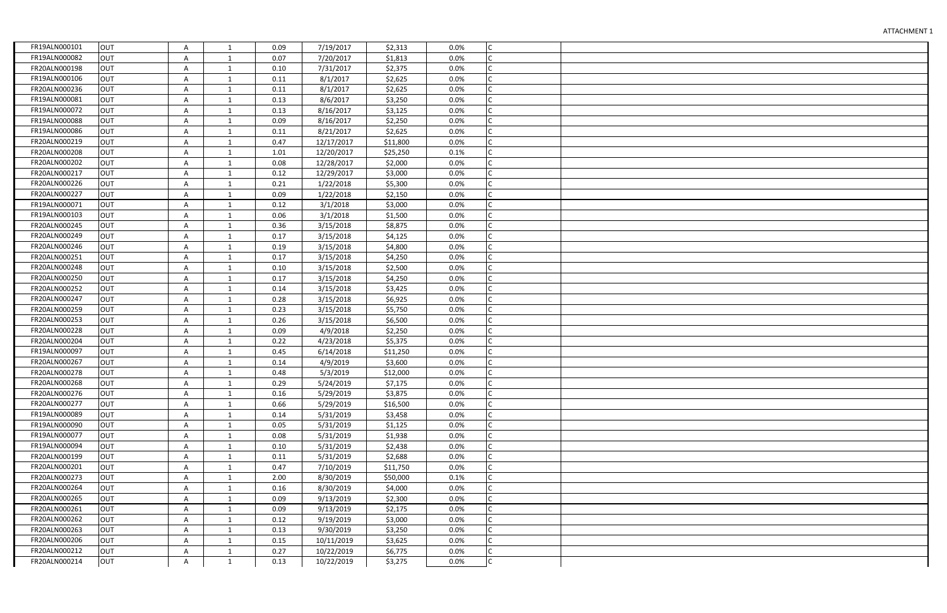| FR19ALN000101 | <b>OUT</b> | Α | 1            | 0.09 | 7/19/2017  | \$2,313  | 0.0% | Iс           |  |
|---------------|------------|---|--------------|------|------------|----------|------|--------------|--|
| FR19ALN000082 | <b>OUT</b> | Α | 1            | 0.07 | 7/20/2017  | \$1,813  | 0.0% | IC.          |  |
| FR20ALN000198 | <b>OUT</b> | Α | 1            | 0.10 | 7/31/2017  | \$2,375  | 0.0% | lc           |  |
| FR19ALN000106 | <b>OUT</b> | Α | 1            | 0.11 | 8/1/2017   | \$2,625  | 0.0% | Iс           |  |
| FR20ALN000236 | <b>OUT</b> | Α | $\mathbf{1}$ | 0.11 | 8/1/2017   | \$2,625  | 0.0% | Iс           |  |
| FR19ALN000081 | <b>OUT</b> | Α | $\mathbf{1}$ | 0.13 | 8/6/2017   | \$3,250  | 0.0% | lc.          |  |
| FR19ALN000072 | <b>OUT</b> | Α | $\mathbf{1}$ | 0.13 | 8/16/2017  | \$3,125  | 0.0% | Iс           |  |
| FR19ALN000088 | <b>OUT</b> | Α | 1            | 0.09 | 8/16/2017  | \$2,250  | 0.0% | Iс           |  |
| FR19ALN000086 | <b>OUT</b> | A | $\mathbf{1}$ | 0.11 | 8/21/2017  | \$2,625  | 0.0% | Iс           |  |
| FR20ALN000219 | <b>OUT</b> | A | 1            | 0.47 | 12/17/2017 | \$11,800 | 0.0% | Iс           |  |
| FR20ALN000208 | <b>OUT</b> | A | $\mathbf{1}$ | 1.01 | 12/20/2017 | \$25,250 | 0.1% | Iс           |  |
| FR20ALN000202 | <b>OUT</b> | A | 1            | 0.08 | 12/28/2017 | \$2,000  | 0.0% | Iс           |  |
| FR20ALN000217 | <b>OUT</b> | A | $\mathbf{1}$ | 0.12 | 12/29/2017 | \$3,000  | 0.0% | Iс           |  |
| FR20ALN000226 | <b>OUT</b> | Α | 1            | 0.21 | 1/22/2018  | \$5,300  | 0.0% | Iс           |  |
| FR20ALN000227 | <b>OUT</b> | Α | 1            | 0.09 | 1/22/2018  | \$2,150  | 0.0% |              |  |
| FR19ALN000071 | <b>OUT</b> | Α | 1            | 0.12 | 3/1/2018   | \$3,000  | 0.0% |              |  |
| FR19ALN000103 | <b>OUT</b> | Α | 1            | 0.06 | 3/1/2018   | \$1,500  | 0.0% | Iс           |  |
| FR20ALN000245 | <b>OUT</b> | Α | 1            | 0.36 | 3/15/2018  | \$8,875  | 0.0% | Iс           |  |
| FR20ALN000249 | <b>OUT</b> | Α | 1            | 0.17 | 3/15/2018  | \$4,125  | 0.0% |              |  |
| FR20ALN000246 | <b>OUT</b> | Α | 1            | 0.19 | 3/15/2018  | \$4,800  | 0.0% |              |  |
| FR20ALN000251 | <b>OUT</b> | Α | $\mathbf{1}$ | 0.17 | 3/15/2018  | \$4,250  | 0.0% | $\mathsf{C}$ |  |
| FR20ALN000248 | <b>OUT</b> | Α | $\mathbf{1}$ | 0.10 | 3/15/2018  | \$2,500  | 0.0% | $\mathsf{C}$ |  |
| FR20ALN000250 | <b>OUT</b> | Α | $\mathbf{1}$ | 0.17 | 3/15/2018  | \$4,250  | 0.0% | C            |  |
| FR20ALN000252 | <b>OUT</b> | Α | 1            | 0.14 | 3/15/2018  | \$3,425  | 0.0% | $\mathsf{C}$ |  |
| FR20ALN000247 | <b>OUT</b> | Α | $\mathbf{1}$ | 0.28 | 3/15/2018  | \$6,925  | 0.0% | IC.          |  |
| FR20ALN000259 | <b>OUT</b> | A | $\mathbf{1}$ | 0.23 | 3/15/2018  | \$5,750  | 0.0% | Iс           |  |
| FR20ALN000253 | <b>OUT</b> | Α | $\mathbf{1}$ | 0.26 | 3/15/2018  | \$6,500  | 0.0% | $\mathsf{C}$ |  |
| FR20ALN000228 | <b>OUT</b> | Α | $\mathbf{1}$ | 0.09 | 4/9/2018   | \$2,250  | 0.0% | Iс           |  |
| FR20ALN000204 | <b>OUT</b> | Α | $\mathbf{1}$ | 0.22 | 4/23/2018  | \$5,375  | 0.0% | IC.          |  |
| FR19ALN000097 | <b>OUT</b> | Α | $\mathbf{1}$ | 0.45 | 6/14/2018  | \$11,250 | 0.0% |              |  |
| FR20ALN000267 | <b>OUT</b> | Α | 1            | 0.14 | 4/9/2019   | \$3,600  | 0.0% |              |  |
| FR20ALN000278 | <b>OUT</b> | A | $\mathbf{1}$ | 0.48 | 5/3/2019   | \$12,000 | 0.0% | Iс           |  |
| FR20ALN000268 | <b>OUT</b> | Α | 1            | 0.29 | 5/24/2019  | \$7,175  | 0.0% |              |  |
| FR20ALN000276 | <b>OUT</b> | Α | 1            | 0.16 | 5/29/2019  | \$3,875  | 0.0% |              |  |
| FR20ALN000277 | <b>OUT</b> | Α | 1            | 0.66 | 5/29/2019  | \$16,500 | 0.0% |              |  |
| FR19ALN000089 | <b>OUT</b> | Α | 1            | 0.14 | 5/31/2019  | \$3,458  | 0.0% | Iс           |  |
| FR19ALN000090 | <b>OUT</b> | Α | 1            | 0.05 | 5/31/2019  | \$1,125  | 0.0% |              |  |
| FR19ALN000077 | <b>OUT</b> | Α | 1            | 0.08 | 5/31/2019  | \$1,938  | 0.0% |              |  |
| FR19ALN000094 | <b>OUT</b> | А | 1            | 0.10 | 5/31/2019  | \$2,438  | 0.0% |              |  |
| FR20ALN000199 | <b>OUT</b> | Α | 1            | 0.11 | 5/31/2019  | \$2,688  | 0.0% | Iс           |  |
| FR20ALN000201 | <b>OUT</b> | Α | 1            | 0.47 | 7/10/2019  | \$11,750 | 0.0% | Iс           |  |
| FR20ALN000273 | <b>OUT</b> | Α | 1            | 2.00 | 8/30/2019  | \$50,000 | 0.1% |              |  |
| FR20ALN000264 | <b>OUT</b> | Α | 1            | 0.16 | 8/30/2019  | \$4,000  | 0.0% | IС           |  |
| FR20ALN000265 | <b>OUT</b> | Α | 1            | 0.09 | 9/13/2019  | \$2,300  | 0.0% |              |  |
| FR20ALN000261 | <b>OUT</b> | Α | 1            | 0.09 | 9/13/2019  | \$2,175  | 0.0% |              |  |
| FR20ALN000262 | <b>OUT</b> | Α | $\mathbf{1}$ | 0.12 | 9/19/2019  | \$3,000  | 0.0% | IC.          |  |
| FR20ALN000263 | <b>OUT</b> | Α | $\mathbf{1}$ | 0.13 | 9/30/2019  | \$3,250  | 0.0% | lc.          |  |
| FR20ALN000206 | <b>OUT</b> | Α | $\mathbf{1}$ | 0.15 | 10/11/2019 | \$3,625  | 0.0% | Iс           |  |
| FR20ALN000212 | <b>OUT</b> | Α | 1            | 0.27 | 10/22/2019 | \$6,775  | 0.0% | IC.          |  |
| FR20ALN000214 | <b>OUT</b> | A | $\mathbf{1}$ | 0.13 | 10/22/2019 | \$3,275  | 0.0% | c            |  |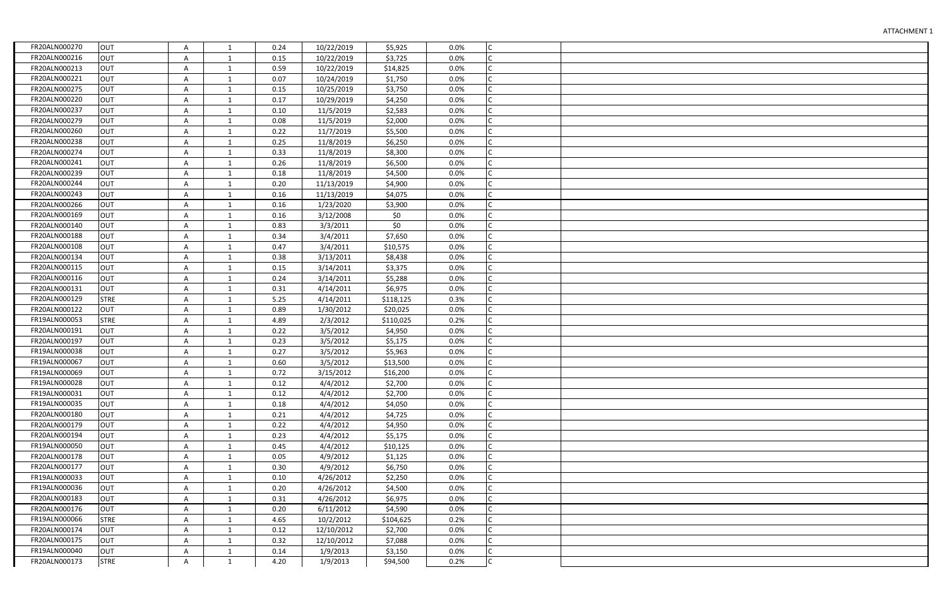| FR20ALN000270 | OUT         | A | 1            | 0.24 | 10/22/2019 | \$5,925   | 0.0% | Iс           |  |
|---------------|-------------|---|--------------|------|------------|-----------|------|--------------|--|
| FR20ALN000216 | <b>OUT</b>  | Α | 1            | 0.15 | 10/22/2019 | \$3,725   | 0.0% | lc           |  |
| FR20ALN000213 | OUT         | A | $\mathbf{1}$ | 0.59 | 10/22/2019 | \$14,825  | 0.0% |              |  |
| FR20ALN000221 | <b>OUT</b>  | Α | 1            | 0.07 | 10/24/2019 | \$1,750   | 0.0% | Iс           |  |
| FR20ALN000275 | <b>OUT</b>  | A | $\mathbf{1}$ | 0.15 | 10/25/2019 | \$3,750   | 0.0% | lc           |  |
| FR20ALN000220 | <b>OUT</b>  | Α | $\mathbf{1}$ | 0.17 | 10/29/2019 | \$4,250   | 0.0% | lC.          |  |
| FR20ALN000237 | OUT         | A | $\mathbf{1}$ | 0.10 | 11/5/2019  | \$2,583   | 0.0% | Iс           |  |
| FR20ALN000279 | <b>OUT</b>  | A | 1            | 0.08 | 11/5/2019  | \$2,000   | 0.0% | Iс           |  |
| FR20ALN000260 | <b>OUT</b>  | A | $\mathbf{1}$ | 0.22 | 11/7/2019  | \$5,500   | 0.0% | lc           |  |
| FR20ALN000238 | <b>OUT</b>  | Α | 1            | 0.25 | 11/8/2019  | \$6,250   | 0.0% | lc           |  |
| FR20ALN000274 | OUT         | A | $\mathbf{1}$ | 0.33 | 11/8/2019  | \$8,300   | 0.0% | Iс           |  |
| FR20ALN000241 | <b>OUT</b>  | A | 1            | 0.26 | 11/8/2019  | \$6,500   | 0.0% | lc           |  |
| FR20ALN000239 | OUT         | A | $\mathbf{1}$ | 0.18 | 11/8/2019  | \$4,500   | 0.0% | lc           |  |
| FR20ALN000244 | <b>OUT</b>  | Α | 1            | 0.20 | 11/13/2019 | \$4,900   | 0.0% | lc           |  |
| FR20ALN000243 | OUT         | A | $\mathbf{1}$ | 0.16 | 11/13/2019 | \$4,075   | 0.0% | Iс           |  |
| FR20ALN000266 | <b>OUT</b>  | A | 1            | 0.16 | 1/23/2020  | \$3,900   | 0.0% |              |  |
| FR20ALN000169 | OUT         | Α | $\mathbf{1}$ | 0.16 | 3/12/2008  | \$0       | 0.0% |              |  |
| FR20ALN000140 | <b>OUT</b>  | Α | $\mathbf{1}$ | 0.83 | 3/3/2011   | \$0\$     | 0.0% | Iс           |  |
| FR20ALN000188 | <b>OUT</b>  | Α | 1            | 0.34 | 3/4/2011   | \$7,650   | 0.0% |              |  |
| FR20ALN000108 | <b>OUT</b>  | A | 1            | 0.47 | 3/4/2011   | \$10,575  | 0.0% |              |  |
| FR20ALN000134 | OUT         | Α | $\mathbf{1}$ | 0.38 | 3/13/2011  | \$8,438   | 0.0% |              |  |
| FR20ALN000115 | OUT         | Α | $\mathbf{1}$ | 0.15 | 3/14/2011  | \$3,375   | 0.0% | $\mathsf{C}$ |  |
| FR20ALN000116 | OUT         | A | 1            | 0.24 | 3/14/2011  | \$5,288   | 0.0% |              |  |
| FR20ALN000131 | <b>OUT</b>  | A | 1            | 0.31 | 4/14/2011  | \$6,975   | 0.0% |              |  |
| FR20ALN000129 | <b>STRE</b> | A | $\mathbf{1}$ | 5.25 | 4/14/2011  | \$118,125 | 0.3% | C            |  |
| FR20ALN000122 | OUT         | A | $\mathbf{1}$ | 0.89 | 1/30/2012  | \$20,025  | 0.0% | $\mathsf{C}$ |  |
| FR19ALN000053 | <b>STRE</b> | A | 1            | 4.89 | 2/3/2012   | \$110,025 | 0.2% |              |  |
| FR20ALN000191 | <b>OUT</b>  | Α | $\mathbf{1}$ | 0.22 | 3/5/2012   | \$4,950   | 0.0% |              |  |
| FR20ALN000197 | <b>OUT</b>  | Α | $\mathbf{1}$ | 0.23 | 3/5/2012   | \$5,175   | 0.0% |              |  |
| FR19ALN000038 | <b>OUT</b>  | Α | $\mathbf{1}$ | 0.27 | 3/5/2012   | \$5,963   | 0.0% |              |  |
| FR19ALN000067 | <b>OUT</b>  | Α | 1            | 0.60 | 3/5/2012   | \$13,500  | 0.0% |              |  |
| FR19ALN000069 | <b>OUT</b>  | Α | $\mathbf{1}$ | 0.72 | 3/15/2012  | \$16,200  | 0.0% |              |  |
| FR19ALN000028 | <b>OUT</b>  | Α | 1            | 0.12 | 4/4/2012   | \$2,700   | 0.0% |              |  |
| FR19ALN000031 | <b>OUT</b>  | A | 1            | 0.12 | 4/4/2012   | \$2,700   | 0.0% |              |  |
| FR19ALN000035 | <b>OUT</b>  | A | 1            | 0.18 | 4/4/2012   | \$4,050   | 0.0% |              |  |
| FR20ALN000180 | <b>OUT</b>  | Α | 1            | 0.21 | 4/4/2012   | \$4,725   | 0.0% |              |  |
| FR20ALN000179 | <b>OUT</b>  | Α | 1            | 0.22 | 4/4/2012   | \$4,950   | 0.0% |              |  |
| FR20ALN000194 | <b>OUT</b>  | Α | 1            | 0.23 | 4/4/2012   | \$5,175   | 0.0% |              |  |
| FR19ALN000050 | <b>OUT</b>  | Α | 1            | 0.45 | 4/4/2012   | \$10,125  | 0.0% |              |  |
| FR20ALN000178 | <b>OUT</b>  | Α | 1            | 0.05 | 4/9/2012   | \$1,125   | 0.0% |              |  |
| FR20ALN000177 | <b>OUT</b>  | A | 1            | 0.30 | 4/9/2012   | \$6,750   | 0.0% |              |  |
| FR19ALN000033 | <b>OUT</b>  | Α | 1            | 0.10 | 4/26/2012  | \$2,250   | 0.0% |              |  |
| FR19ALN000036 | <b>OUT</b>  | A | 1            | 0.20 | 4/26/2012  | \$4,500   | 0.0% |              |  |
| FR20ALN000183 | <b>OUT</b>  | A | 1            | 0.31 | 4/26/2012  | \$6,975   | 0.0% |              |  |
| FR20ALN000176 | <b>OUT</b>  | A | 1            | 0.20 | 6/11/2012  | \$4,590   | 0.0% |              |  |
| FR19ALN000066 | <b>STRE</b> | Α | $\mathbf{1}$ | 4.65 | 10/2/2012  | \$104,625 | 0.2% | Iс           |  |
| FR20ALN000174 | <b>OUT</b>  | Α | $\mathbf{1}$ | 0.12 | 12/10/2012 | \$2,700   | 0.0% | lC.          |  |
| FR20ALN000175 | <b>OUT</b>  | Α | $\mathbf{1}$ | 0.32 | 12/10/2012 | \$7,088   | 0.0% | Iс           |  |
| FR19ALN000040 | <b>OUT</b>  | Α | 1            | 0.14 | 1/9/2013   | \$3,150   | 0.0% | lC.          |  |
| FR20ALN000173 | <b>STRE</b> | A | $\mathbf{1}$ | 4.20 | 1/9/2013   | \$94,500  | 0.2% | Ic.          |  |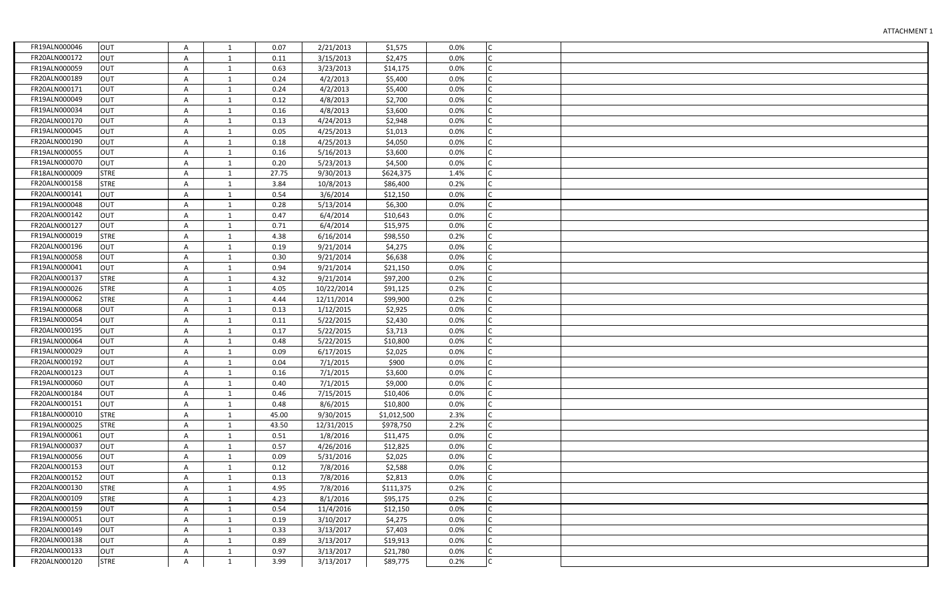| FR19ALN000046<br><b>OUT</b><br>0.07<br>2/21/2013<br>0.0%<br>Iс<br>Α<br>1<br>\$1,575<br>IC.<br>FR20ALN000172<br><b>OUT</b><br>3/15/2013<br>0.0%<br>Α<br>1<br>0.11<br>\$2,475<br>Iс<br>FR19ALN000059<br><b>OUT</b><br>$\mathbf{1}$<br>0.63<br>3/23/2013<br>\$14,175<br>0.0%<br>Α<br>FR20ALN000189<br><b>OUT</b><br>Iс<br>0.24<br>4/2/2013<br>\$5,400<br>0.0%<br>Α<br>1<br>FR20ALN000171<br>Iс<br><b>OUT</b><br>Α<br>0.24<br>4/2/2013<br>\$5,400<br>0.0%<br>$\mathbf{1}$<br>lc.<br>FR19ALN000049<br><b>OUT</b><br>Α<br>0.12<br>4/8/2013<br>\$2,700<br>0.0%<br>$\mathbf{1}$<br>Iс<br>FR19ALN000034<br><b>OUT</b><br>A<br>$\mathbf{1}$<br>0.16<br>4/8/2013<br>\$3,600<br>0.0%<br>FR20ALN000170<br><b>OUT</b><br>Iс<br>0.13<br>4/24/2013<br>\$2,948<br>0.0%<br>Α<br>1<br>FR19ALN000045<br><b>OUT</b><br>Iс<br>A<br>0.05<br>4/25/2013<br>0.0%<br>$\mathbf{1}$<br>\$1,013<br>FR20ALN000190<br><b>OUT</b><br>Iс<br>A<br>0.18<br>4/25/2013<br>\$4,050<br>0.0%<br>1<br>Iс<br><b>OUT</b><br>FR19ALN000055<br>A<br>\$3,600<br>$\mathbf{1}$<br>0.16<br>5/16/2013<br>0.0%<br>FR19ALN000070<br><b>OUT</b><br>Iс<br>A<br>0.20<br>5/23/2013<br>\$4,500<br>0.0%<br>1<br>FR18ALN000009<br><b>STRE</b><br>Iс<br>A<br>9/30/2013<br>\$624,375<br>$\mathbf{1}$<br>27.75<br>1.4%<br>FR20ALN000158<br>Iс<br><b>STRE</b><br>Α<br>3.84<br>10/8/2013<br>\$86,400<br>0.2%<br>1<br>FR20ALN000141<br><b>OUT</b><br>Α<br>0.54<br>3/6/2014<br>\$12,150<br>0.0%<br>1<br>FR19ALN000048<br><b>OUT</b><br>\$6,300<br>0.0%<br>Α<br>0.28<br>5/13/2014<br>1<br>FR20ALN000142<br><b>OUT</b><br>Α<br>0.47<br>6/4/2014<br>0.0%<br>$\mathbf{1}$<br>\$10,643<br>Iс<br>FR20ALN000127<br><b>OUT</b><br>6/4/2014<br>Α<br>0.71<br>\$15,975<br>0.0%<br>1<br><b>STRE</b><br>FR19ALN000019<br>4.38<br>Α<br>6/16/2014<br>\$98,550<br>0.2%<br>1<br>FR20ALN000196<br><b>OUT</b><br>9/21/2014<br>\$4,275<br>0.0%<br>Α<br>0.19<br>$\mathbf{1}$<br>FR19ALN000058<br><b>OUT</b><br>\$6,638<br>0.30<br>9/21/2014<br>0.0%<br>$\mathsf{C}$<br>Α<br>$\mathbf{1}$<br>Iс<br>FR19ALN000041<br><b>OUT</b><br>9/21/2014<br>\$21,150<br>0.0%<br>Α<br>$\mathbf{1}$<br>0.94<br>FR20ALN000137<br><b>STRE</b><br>4.32<br>Α<br>9/21/2014<br>\$97,200<br>0.2%<br>C<br>$\mathbf{1}$<br><b>STRE</b><br>FR19ALN000026<br>4.05<br>\$91,125<br>0.2%<br>Α<br>10/22/2014<br>$\mathsf{C}$<br>1<br>FR19ALN000062<br><b>STRE</b><br>\$99,900<br>IC.<br>Α<br>$\mathbf{1}$<br>4.44<br>12/11/2014<br>0.2%<br>FR19ALN000068<br>Iс<br><b>OUT</b><br>1/12/2015<br>\$2,925<br>0.0%<br>A<br>$\mathbf{1}$<br>0.13<br>FR19ALN000054<br><b>OUT</b><br>$\mathsf{C}$<br>Α<br>5/22/2015<br>\$2,430<br>0.0%<br>$\mathbf{1}$<br>0.11<br>FR20ALN000195<br><b>OUT</b><br>5/22/2015<br>\$3,713<br>0.0%<br>Iс<br>Α<br>$\mathbf{1}$<br>0.17<br>FR19ALN000064<br><b>OUT</b><br>0.48<br>5/22/2015<br>\$10,800<br>0.0%<br>IС<br>Α<br>$\mathbf{1}$<br><b>OUT</b><br>FR19ALN000029<br>\$2,025<br>0.09<br>6/17/2015<br>0.0%<br>Α<br>$\mathbf{1}$<br>FR20ALN000192<br><b>OUT</b><br>\$900<br>Α<br>0.04<br>7/1/2015<br>0.0%<br>1<br>FR20ALN000123<br><b>OUT</b><br>Iс<br>A<br>$\mathbf{1}$<br>0.16<br>7/1/2015<br>\$3,600<br>0.0%<br>FR19ALN000060<br><b>OUT</b><br>7/1/2015<br>\$9,000<br>0.0%<br>Α<br>0.40<br>1<br>FR20ALN000184<br><b>OUT</b><br>0.46<br>0.0%<br>Α<br>1<br>7/15/2015<br>\$10,406<br>FR20ALN000151<br><b>OUT</b><br>0.48<br>8/6/2015<br>\$10,800<br>0.0%<br>Α<br>1<br>FR18ALN000010<br>Iс<br><b>STRE</b><br>Α<br>2.3%<br>1<br>45.00<br>9/30/2015<br>\$1,012,500<br>FR19ALN000025<br><b>STRE</b><br>Α<br>43.50<br>12/31/2015<br>\$978,750<br>2.2%<br>1<br>FR19ALN000061<br><b>OUT</b><br>0.0%<br>Α<br>1<br>0.51<br>1/8/2016<br>\$11,475<br>FR19ALN000037<br><b>OUT</b><br>0.57<br>4/26/2016<br>\$12,825<br>0.0%<br>А<br>1<br>Iс<br>FR19ALN000056<br><b>OUT</b><br>0.09<br>0.0%<br>Α<br>1<br>5/31/2016<br>\$2,025<br>FR20ALN000153<br><b>OUT</b><br>0.0%<br>Α<br>0.12<br>7/8/2016<br>\$2,588<br>1<br>FR20ALN000152<br><b>OUT</b><br>0.0%<br>Α<br>1<br>0.13<br>7/8/2016<br>\$2,813<br>FR20ALN000130<br><b>STRE</b><br>IС<br>Α<br>4.95<br>7/8/2016<br>\$111,375<br>0.2%<br>1<br>FR20ALN000109<br><b>STRE</b><br>0.2%<br>Α<br>1<br>4.23<br>8/1/2016<br>\$95,175<br>FR20ALN000159<br><b>OUT</b><br>0.0%<br>0.54<br>11/4/2016<br>\$12,150<br>Α<br>1<br>FR19ALN000051<br><b>OUT</b><br>Iс<br>Α<br>0.0%<br>$\mathbf{1}$<br>0.19<br>3/10/2017<br>\$4,275<br>lc.<br>FR20ALN000149<br><b>OUT</b><br>3/13/2017<br>0.0%<br>Α<br>$\mathbf{1}$<br>0.33<br>\$7,403<br>Iс<br>FR20ALN000138<br><b>OUT</b><br>Α<br>$\mathbf{1}$<br>0.89<br>3/13/2017<br>\$19,913<br>0.0%<br>FR20ALN000133<br>IC.<br><b>OUT</b><br>0.0%<br>Α<br>0.97<br>3/13/2017<br>\$21,780<br>1 |               |             |   |              |      |           |          |      |   |  |
|----------------------------------------------------------------------------------------------------------------------------------------------------------------------------------------------------------------------------------------------------------------------------------------------------------------------------------------------------------------------------------------------------------------------------------------------------------------------------------------------------------------------------------------------------------------------------------------------------------------------------------------------------------------------------------------------------------------------------------------------------------------------------------------------------------------------------------------------------------------------------------------------------------------------------------------------------------------------------------------------------------------------------------------------------------------------------------------------------------------------------------------------------------------------------------------------------------------------------------------------------------------------------------------------------------------------------------------------------------------------------------------------------------------------------------------------------------------------------------------------------------------------------------------------------------------------------------------------------------------------------------------------------------------------------------------------------------------------------------------------------------------------------------------------------------------------------------------------------------------------------------------------------------------------------------------------------------------------------------------------------------------------------------------------------------------------------------------------------------------------------------------------------------------------------------------------------------------------------------------------------------------------------------------------------------------------------------------------------------------------------------------------------------------------------------------------------------------------------------------------------------------------------------------------------------------------------------------------------------------------------------------------------------------------------------------------------------------------------------------------------------------------------------------------------------------------------------------------------------------------------------------------------------------------------------------------------------------------------------------------------------------------------------------------------------------------------------------------------------------------------------------------------------------------------------------------------------------------------------------------------------------------------------------------------------------------------------------------------------------------------------------------------------------------------------------------------------------------------------------------------------------------------------------------------------------------------------------------------------------------------------------------------------------------------------------------------------------------------------------------------------------------------------------------------------------------------------------------------------------------------------------------------------------------------------------------------------------------------------------------------------------------------------------------------------------------------------------------------------------------------------------------------------------------------------------------------------------------------------------------------------------------------------------------------------------------------------------------------------------------------------------------------------------------------------------------------------------------------------------------------------------------------------------------------------------------------------------------------------------------------------------------|---------------|-------------|---|--------------|------|-----------|----------|------|---|--|
|                                                                                                                                                                                                                                                                                                                                                                                                                                                                                                                                                                                                                                                                                                                                                                                                                                                                                                                                                                                                                                                                                                                                                                                                                                                                                                                                                                                                                                                                                                                                                                                                                                                                                                                                                                                                                                                                                                                                                                                                                                                                                                                                                                                                                                                                                                                                                                                                                                                                                                                                                                                                                                                                                                                                                                                                                                                                                                                                                                                                                                                                                                                                                                                                                                                                                                                                                                                                                                                                                                                                                                                                                                                                                                                                                                                                                                                                                                                                                                                                                                                                                                                                                                                                                                                                                                                                                                                                                                                                                                                                                                                                                                              |               |             |   |              |      |           |          |      |   |  |
|                                                                                                                                                                                                                                                                                                                                                                                                                                                                                                                                                                                                                                                                                                                                                                                                                                                                                                                                                                                                                                                                                                                                                                                                                                                                                                                                                                                                                                                                                                                                                                                                                                                                                                                                                                                                                                                                                                                                                                                                                                                                                                                                                                                                                                                                                                                                                                                                                                                                                                                                                                                                                                                                                                                                                                                                                                                                                                                                                                                                                                                                                                                                                                                                                                                                                                                                                                                                                                                                                                                                                                                                                                                                                                                                                                                                                                                                                                                                                                                                                                                                                                                                                                                                                                                                                                                                                                                                                                                                                                                                                                                                                                              |               |             |   |              |      |           |          |      |   |  |
|                                                                                                                                                                                                                                                                                                                                                                                                                                                                                                                                                                                                                                                                                                                                                                                                                                                                                                                                                                                                                                                                                                                                                                                                                                                                                                                                                                                                                                                                                                                                                                                                                                                                                                                                                                                                                                                                                                                                                                                                                                                                                                                                                                                                                                                                                                                                                                                                                                                                                                                                                                                                                                                                                                                                                                                                                                                                                                                                                                                                                                                                                                                                                                                                                                                                                                                                                                                                                                                                                                                                                                                                                                                                                                                                                                                                                                                                                                                                                                                                                                                                                                                                                                                                                                                                                                                                                                                                                                                                                                                                                                                                                                              |               |             |   |              |      |           |          |      |   |  |
|                                                                                                                                                                                                                                                                                                                                                                                                                                                                                                                                                                                                                                                                                                                                                                                                                                                                                                                                                                                                                                                                                                                                                                                                                                                                                                                                                                                                                                                                                                                                                                                                                                                                                                                                                                                                                                                                                                                                                                                                                                                                                                                                                                                                                                                                                                                                                                                                                                                                                                                                                                                                                                                                                                                                                                                                                                                                                                                                                                                                                                                                                                                                                                                                                                                                                                                                                                                                                                                                                                                                                                                                                                                                                                                                                                                                                                                                                                                                                                                                                                                                                                                                                                                                                                                                                                                                                                                                                                                                                                                                                                                                                                              |               |             |   |              |      |           |          |      |   |  |
|                                                                                                                                                                                                                                                                                                                                                                                                                                                                                                                                                                                                                                                                                                                                                                                                                                                                                                                                                                                                                                                                                                                                                                                                                                                                                                                                                                                                                                                                                                                                                                                                                                                                                                                                                                                                                                                                                                                                                                                                                                                                                                                                                                                                                                                                                                                                                                                                                                                                                                                                                                                                                                                                                                                                                                                                                                                                                                                                                                                                                                                                                                                                                                                                                                                                                                                                                                                                                                                                                                                                                                                                                                                                                                                                                                                                                                                                                                                                                                                                                                                                                                                                                                                                                                                                                                                                                                                                                                                                                                                                                                                                                                              |               |             |   |              |      |           |          |      |   |  |
|                                                                                                                                                                                                                                                                                                                                                                                                                                                                                                                                                                                                                                                                                                                                                                                                                                                                                                                                                                                                                                                                                                                                                                                                                                                                                                                                                                                                                                                                                                                                                                                                                                                                                                                                                                                                                                                                                                                                                                                                                                                                                                                                                                                                                                                                                                                                                                                                                                                                                                                                                                                                                                                                                                                                                                                                                                                                                                                                                                                                                                                                                                                                                                                                                                                                                                                                                                                                                                                                                                                                                                                                                                                                                                                                                                                                                                                                                                                                                                                                                                                                                                                                                                                                                                                                                                                                                                                                                                                                                                                                                                                                                                              |               |             |   |              |      |           |          |      |   |  |
|                                                                                                                                                                                                                                                                                                                                                                                                                                                                                                                                                                                                                                                                                                                                                                                                                                                                                                                                                                                                                                                                                                                                                                                                                                                                                                                                                                                                                                                                                                                                                                                                                                                                                                                                                                                                                                                                                                                                                                                                                                                                                                                                                                                                                                                                                                                                                                                                                                                                                                                                                                                                                                                                                                                                                                                                                                                                                                                                                                                                                                                                                                                                                                                                                                                                                                                                                                                                                                                                                                                                                                                                                                                                                                                                                                                                                                                                                                                                                                                                                                                                                                                                                                                                                                                                                                                                                                                                                                                                                                                                                                                                                                              |               |             |   |              |      |           |          |      |   |  |
|                                                                                                                                                                                                                                                                                                                                                                                                                                                                                                                                                                                                                                                                                                                                                                                                                                                                                                                                                                                                                                                                                                                                                                                                                                                                                                                                                                                                                                                                                                                                                                                                                                                                                                                                                                                                                                                                                                                                                                                                                                                                                                                                                                                                                                                                                                                                                                                                                                                                                                                                                                                                                                                                                                                                                                                                                                                                                                                                                                                                                                                                                                                                                                                                                                                                                                                                                                                                                                                                                                                                                                                                                                                                                                                                                                                                                                                                                                                                                                                                                                                                                                                                                                                                                                                                                                                                                                                                                                                                                                                                                                                                                                              |               |             |   |              |      |           |          |      |   |  |
|                                                                                                                                                                                                                                                                                                                                                                                                                                                                                                                                                                                                                                                                                                                                                                                                                                                                                                                                                                                                                                                                                                                                                                                                                                                                                                                                                                                                                                                                                                                                                                                                                                                                                                                                                                                                                                                                                                                                                                                                                                                                                                                                                                                                                                                                                                                                                                                                                                                                                                                                                                                                                                                                                                                                                                                                                                                                                                                                                                                                                                                                                                                                                                                                                                                                                                                                                                                                                                                                                                                                                                                                                                                                                                                                                                                                                                                                                                                                                                                                                                                                                                                                                                                                                                                                                                                                                                                                                                                                                                                                                                                                                                              |               |             |   |              |      |           |          |      |   |  |
|                                                                                                                                                                                                                                                                                                                                                                                                                                                                                                                                                                                                                                                                                                                                                                                                                                                                                                                                                                                                                                                                                                                                                                                                                                                                                                                                                                                                                                                                                                                                                                                                                                                                                                                                                                                                                                                                                                                                                                                                                                                                                                                                                                                                                                                                                                                                                                                                                                                                                                                                                                                                                                                                                                                                                                                                                                                                                                                                                                                                                                                                                                                                                                                                                                                                                                                                                                                                                                                                                                                                                                                                                                                                                                                                                                                                                                                                                                                                                                                                                                                                                                                                                                                                                                                                                                                                                                                                                                                                                                                                                                                                                                              |               |             |   |              |      |           |          |      |   |  |
|                                                                                                                                                                                                                                                                                                                                                                                                                                                                                                                                                                                                                                                                                                                                                                                                                                                                                                                                                                                                                                                                                                                                                                                                                                                                                                                                                                                                                                                                                                                                                                                                                                                                                                                                                                                                                                                                                                                                                                                                                                                                                                                                                                                                                                                                                                                                                                                                                                                                                                                                                                                                                                                                                                                                                                                                                                                                                                                                                                                                                                                                                                                                                                                                                                                                                                                                                                                                                                                                                                                                                                                                                                                                                                                                                                                                                                                                                                                                                                                                                                                                                                                                                                                                                                                                                                                                                                                                                                                                                                                                                                                                                                              |               |             |   |              |      |           |          |      |   |  |
|                                                                                                                                                                                                                                                                                                                                                                                                                                                                                                                                                                                                                                                                                                                                                                                                                                                                                                                                                                                                                                                                                                                                                                                                                                                                                                                                                                                                                                                                                                                                                                                                                                                                                                                                                                                                                                                                                                                                                                                                                                                                                                                                                                                                                                                                                                                                                                                                                                                                                                                                                                                                                                                                                                                                                                                                                                                                                                                                                                                                                                                                                                                                                                                                                                                                                                                                                                                                                                                                                                                                                                                                                                                                                                                                                                                                                                                                                                                                                                                                                                                                                                                                                                                                                                                                                                                                                                                                                                                                                                                                                                                                                                              |               |             |   |              |      |           |          |      |   |  |
|                                                                                                                                                                                                                                                                                                                                                                                                                                                                                                                                                                                                                                                                                                                                                                                                                                                                                                                                                                                                                                                                                                                                                                                                                                                                                                                                                                                                                                                                                                                                                                                                                                                                                                                                                                                                                                                                                                                                                                                                                                                                                                                                                                                                                                                                                                                                                                                                                                                                                                                                                                                                                                                                                                                                                                                                                                                                                                                                                                                                                                                                                                                                                                                                                                                                                                                                                                                                                                                                                                                                                                                                                                                                                                                                                                                                                                                                                                                                                                                                                                                                                                                                                                                                                                                                                                                                                                                                                                                                                                                                                                                                                                              |               |             |   |              |      |           |          |      |   |  |
|                                                                                                                                                                                                                                                                                                                                                                                                                                                                                                                                                                                                                                                                                                                                                                                                                                                                                                                                                                                                                                                                                                                                                                                                                                                                                                                                                                                                                                                                                                                                                                                                                                                                                                                                                                                                                                                                                                                                                                                                                                                                                                                                                                                                                                                                                                                                                                                                                                                                                                                                                                                                                                                                                                                                                                                                                                                                                                                                                                                                                                                                                                                                                                                                                                                                                                                                                                                                                                                                                                                                                                                                                                                                                                                                                                                                                                                                                                                                                                                                                                                                                                                                                                                                                                                                                                                                                                                                                                                                                                                                                                                                                                              |               |             |   |              |      |           |          |      |   |  |
|                                                                                                                                                                                                                                                                                                                                                                                                                                                                                                                                                                                                                                                                                                                                                                                                                                                                                                                                                                                                                                                                                                                                                                                                                                                                                                                                                                                                                                                                                                                                                                                                                                                                                                                                                                                                                                                                                                                                                                                                                                                                                                                                                                                                                                                                                                                                                                                                                                                                                                                                                                                                                                                                                                                                                                                                                                                                                                                                                                                                                                                                                                                                                                                                                                                                                                                                                                                                                                                                                                                                                                                                                                                                                                                                                                                                                                                                                                                                                                                                                                                                                                                                                                                                                                                                                                                                                                                                                                                                                                                                                                                                                                              |               |             |   |              |      |           |          |      |   |  |
|                                                                                                                                                                                                                                                                                                                                                                                                                                                                                                                                                                                                                                                                                                                                                                                                                                                                                                                                                                                                                                                                                                                                                                                                                                                                                                                                                                                                                                                                                                                                                                                                                                                                                                                                                                                                                                                                                                                                                                                                                                                                                                                                                                                                                                                                                                                                                                                                                                                                                                                                                                                                                                                                                                                                                                                                                                                                                                                                                                                                                                                                                                                                                                                                                                                                                                                                                                                                                                                                                                                                                                                                                                                                                                                                                                                                                                                                                                                                                                                                                                                                                                                                                                                                                                                                                                                                                                                                                                                                                                                                                                                                                                              |               |             |   |              |      |           |          |      |   |  |
|                                                                                                                                                                                                                                                                                                                                                                                                                                                                                                                                                                                                                                                                                                                                                                                                                                                                                                                                                                                                                                                                                                                                                                                                                                                                                                                                                                                                                                                                                                                                                                                                                                                                                                                                                                                                                                                                                                                                                                                                                                                                                                                                                                                                                                                                                                                                                                                                                                                                                                                                                                                                                                                                                                                                                                                                                                                                                                                                                                                                                                                                                                                                                                                                                                                                                                                                                                                                                                                                                                                                                                                                                                                                                                                                                                                                                                                                                                                                                                                                                                                                                                                                                                                                                                                                                                                                                                                                                                                                                                                                                                                                                                              |               |             |   |              |      |           |          |      |   |  |
|                                                                                                                                                                                                                                                                                                                                                                                                                                                                                                                                                                                                                                                                                                                                                                                                                                                                                                                                                                                                                                                                                                                                                                                                                                                                                                                                                                                                                                                                                                                                                                                                                                                                                                                                                                                                                                                                                                                                                                                                                                                                                                                                                                                                                                                                                                                                                                                                                                                                                                                                                                                                                                                                                                                                                                                                                                                                                                                                                                                                                                                                                                                                                                                                                                                                                                                                                                                                                                                                                                                                                                                                                                                                                                                                                                                                                                                                                                                                                                                                                                                                                                                                                                                                                                                                                                                                                                                                                                                                                                                                                                                                                                              |               |             |   |              |      |           |          |      |   |  |
|                                                                                                                                                                                                                                                                                                                                                                                                                                                                                                                                                                                                                                                                                                                                                                                                                                                                                                                                                                                                                                                                                                                                                                                                                                                                                                                                                                                                                                                                                                                                                                                                                                                                                                                                                                                                                                                                                                                                                                                                                                                                                                                                                                                                                                                                                                                                                                                                                                                                                                                                                                                                                                                                                                                                                                                                                                                                                                                                                                                                                                                                                                                                                                                                                                                                                                                                                                                                                                                                                                                                                                                                                                                                                                                                                                                                                                                                                                                                                                                                                                                                                                                                                                                                                                                                                                                                                                                                                                                                                                                                                                                                                                              |               |             |   |              |      |           |          |      |   |  |
|                                                                                                                                                                                                                                                                                                                                                                                                                                                                                                                                                                                                                                                                                                                                                                                                                                                                                                                                                                                                                                                                                                                                                                                                                                                                                                                                                                                                                                                                                                                                                                                                                                                                                                                                                                                                                                                                                                                                                                                                                                                                                                                                                                                                                                                                                                                                                                                                                                                                                                                                                                                                                                                                                                                                                                                                                                                                                                                                                                                                                                                                                                                                                                                                                                                                                                                                                                                                                                                                                                                                                                                                                                                                                                                                                                                                                                                                                                                                                                                                                                                                                                                                                                                                                                                                                                                                                                                                                                                                                                                                                                                                                                              |               |             |   |              |      |           |          |      |   |  |
|                                                                                                                                                                                                                                                                                                                                                                                                                                                                                                                                                                                                                                                                                                                                                                                                                                                                                                                                                                                                                                                                                                                                                                                                                                                                                                                                                                                                                                                                                                                                                                                                                                                                                                                                                                                                                                                                                                                                                                                                                                                                                                                                                                                                                                                                                                                                                                                                                                                                                                                                                                                                                                                                                                                                                                                                                                                                                                                                                                                                                                                                                                                                                                                                                                                                                                                                                                                                                                                                                                                                                                                                                                                                                                                                                                                                                                                                                                                                                                                                                                                                                                                                                                                                                                                                                                                                                                                                                                                                                                                                                                                                                                              |               |             |   |              |      |           |          |      |   |  |
|                                                                                                                                                                                                                                                                                                                                                                                                                                                                                                                                                                                                                                                                                                                                                                                                                                                                                                                                                                                                                                                                                                                                                                                                                                                                                                                                                                                                                                                                                                                                                                                                                                                                                                                                                                                                                                                                                                                                                                                                                                                                                                                                                                                                                                                                                                                                                                                                                                                                                                                                                                                                                                                                                                                                                                                                                                                                                                                                                                                                                                                                                                                                                                                                                                                                                                                                                                                                                                                                                                                                                                                                                                                                                                                                                                                                                                                                                                                                                                                                                                                                                                                                                                                                                                                                                                                                                                                                                                                                                                                                                                                                                                              |               |             |   |              |      |           |          |      |   |  |
|                                                                                                                                                                                                                                                                                                                                                                                                                                                                                                                                                                                                                                                                                                                                                                                                                                                                                                                                                                                                                                                                                                                                                                                                                                                                                                                                                                                                                                                                                                                                                                                                                                                                                                                                                                                                                                                                                                                                                                                                                                                                                                                                                                                                                                                                                                                                                                                                                                                                                                                                                                                                                                                                                                                                                                                                                                                                                                                                                                                                                                                                                                                                                                                                                                                                                                                                                                                                                                                                                                                                                                                                                                                                                                                                                                                                                                                                                                                                                                                                                                                                                                                                                                                                                                                                                                                                                                                                                                                                                                                                                                                                                                              |               |             |   |              |      |           |          |      |   |  |
|                                                                                                                                                                                                                                                                                                                                                                                                                                                                                                                                                                                                                                                                                                                                                                                                                                                                                                                                                                                                                                                                                                                                                                                                                                                                                                                                                                                                                                                                                                                                                                                                                                                                                                                                                                                                                                                                                                                                                                                                                                                                                                                                                                                                                                                                                                                                                                                                                                                                                                                                                                                                                                                                                                                                                                                                                                                                                                                                                                                                                                                                                                                                                                                                                                                                                                                                                                                                                                                                                                                                                                                                                                                                                                                                                                                                                                                                                                                                                                                                                                                                                                                                                                                                                                                                                                                                                                                                                                                                                                                                                                                                                                              |               |             |   |              |      |           |          |      |   |  |
|                                                                                                                                                                                                                                                                                                                                                                                                                                                                                                                                                                                                                                                                                                                                                                                                                                                                                                                                                                                                                                                                                                                                                                                                                                                                                                                                                                                                                                                                                                                                                                                                                                                                                                                                                                                                                                                                                                                                                                                                                                                                                                                                                                                                                                                                                                                                                                                                                                                                                                                                                                                                                                                                                                                                                                                                                                                                                                                                                                                                                                                                                                                                                                                                                                                                                                                                                                                                                                                                                                                                                                                                                                                                                                                                                                                                                                                                                                                                                                                                                                                                                                                                                                                                                                                                                                                                                                                                                                                                                                                                                                                                                                              |               |             |   |              |      |           |          |      |   |  |
|                                                                                                                                                                                                                                                                                                                                                                                                                                                                                                                                                                                                                                                                                                                                                                                                                                                                                                                                                                                                                                                                                                                                                                                                                                                                                                                                                                                                                                                                                                                                                                                                                                                                                                                                                                                                                                                                                                                                                                                                                                                                                                                                                                                                                                                                                                                                                                                                                                                                                                                                                                                                                                                                                                                                                                                                                                                                                                                                                                                                                                                                                                                                                                                                                                                                                                                                                                                                                                                                                                                                                                                                                                                                                                                                                                                                                                                                                                                                                                                                                                                                                                                                                                                                                                                                                                                                                                                                                                                                                                                                                                                                                                              |               |             |   |              |      |           |          |      |   |  |
|                                                                                                                                                                                                                                                                                                                                                                                                                                                                                                                                                                                                                                                                                                                                                                                                                                                                                                                                                                                                                                                                                                                                                                                                                                                                                                                                                                                                                                                                                                                                                                                                                                                                                                                                                                                                                                                                                                                                                                                                                                                                                                                                                                                                                                                                                                                                                                                                                                                                                                                                                                                                                                                                                                                                                                                                                                                                                                                                                                                                                                                                                                                                                                                                                                                                                                                                                                                                                                                                                                                                                                                                                                                                                                                                                                                                                                                                                                                                                                                                                                                                                                                                                                                                                                                                                                                                                                                                                                                                                                                                                                                                                                              |               |             |   |              |      |           |          |      |   |  |
|                                                                                                                                                                                                                                                                                                                                                                                                                                                                                                                                                                                                                                                                                                                                                                                                                                                                                                                                                                                                                                                                                                                                                                                                                                                                                                                                                                                                                                                                                                                                                                                                                                                                                                                                                                                                                                                                                                                                                                                                                                                                                                                                                                                                                                                                                                                                                                                                                                                                                                                                                                                                                                                                                                                                                                                                                                                                                                                                                                                                                                                                                                                                                                                                                                                                                                                                                                                                                                                                                                                                                                                                                                                                                                                                                                                                                                                                                                                                                                                                                                                                                                                                                                                                                                                                                                                                                                                                                                                                                                                                                                                                                                              |               |             |   |              |      |           |          |      |   |  |
|                                                                                                                                                                                                                                                                                                                                                                                                                                                                                                                                                                                                                                                                                                                                                                                                                                                                                                                                                                                                                                                                                                                                                                                                                                                                                                                                                                                                                                                                                                                                                                                                                                                                                                                                                                                                                                                                                                                                                                                                                                                                                                                                                                                                                                                                                                                                                                                                                                                                                                                                                                                                                                                                                                                                                                                                                                                                                                                                                                                                                                                                                                                                                                                                                                                                                                                                                                                                                                                                                                                                                                                                                                                                                                                                                                                                                                                                                                                                                                                                                                                                                                                                                                                                                                                                                                                                                                                                                                                                                                                                                                                                                                              |               |             |   |              |      |           |          |      |   |  |
|                                                                                                                                                                                                                                                                                                                                                                                                                                                                                                                                                                                                                                                                                                                                                                                                                                                                                                                                                                                                                                                                                                                                                                                                                                                                                                                                                                                                                                                                                                                                                                                                                                                                                                                                                                                                                                                                                                                                                                                                                                                                                                                                                                                                                                                                                                                                                                                                                                                                                                                                                                                                                                                                                                                                                                                                                                                                                                                                                                                                                                                                                                                                                                                                                                                                                                                                                                                                                                                                                                                                                                                                                                                                                                                                                                                                                                                                                                                                                                                                                                                                                                                                                                                                                                                                                                                                                                                                                                                                                                                                                                                                                                              |               |             |   |              |      |           |          |      |   |  |
|                                                                                                                                                                                                                                                                                                                                                                                                                                                                                                                                                                                                                                                                                                                                                                                                                                                                                                                                                                                                                                                                                                                                                                                                                                                                                                                                                                                                                                                                                                                                                                                                                                                                                                                                                                                                                                                                                                                                                                                                                                                                                                                                                                                                                                                                                                                                                                                                                                                                                                                                                                                                                                                                                                                                                                                                                                                                                                                                                                                                                                                                                                                                                                                                                                                                                                                                                                                                                                                                                                                                                                                                                                                                                                                                                                                                                                                                                                                                                                                                                                                                                                                                                                                                                                                                                                                                                                                                                                                                                                                                                                                                                                              |               |             |   |              |      |           |          |      |   |  |
|                                                                                                                                                                                                                                                                                                                                                                                                                                                                                                                                                                                                                                                                                                                                                                                                                                                                                                                                                                                                                                                                                                                                                                                                                                                                                                                                                                                                                                                                                                                                                                                                                                                                                                                                                                                                                                                                                                                                                                                                                                                                                                                                                                                                                                                                                                                                                                                                                                                                                                                                                                                                                                                                                                                                                                                                                                                                                                                                                                                                                                                                                                                                                                                                                                                                                                                                                                                                                                                                                                                                                                                                                                                                                                                                                                                                                                                                                                                                                                                                                                                                                                                                                                                                                                                                                                                                                                                                                                                                                                                                                                                                                                              |               |             |   |              |      |           |          |      |   |  |
|                                                                                                                                                                                                                                                                                                                                                                                                                                                                                                                                                                                                                                                                                                                                                                                                                                                                                                                                                                                                                                                                                                                                                                                                                                                                                                                                                                                                                                                                                                                                                                                                                                                                                                                                                                                                                                                                                                                                                                                                                                                                                                                                                                                                                                                                                                                                                                                                                                                                                                                                                                                                                                                                                                                                                                                                                                                                                                                                                                                                                                                                                                                                                                                                                                                                                                                                                                                                                                                                                                                                                                                                                                                                                                                                                                                                                                                                                                                                                                                                                                                                                                                                                                                                                                                                                                                                                                                                                                                                                                                                                                                                                                              |               |             |   |              |      |           |          |      |   |  |
|                                                                                                                                                                                                                                                                                                                                                                                                                                                                                                                                                                                                                                                                                                                                                                                                                                                                                                                                                                                                                                                                                                                                                                                                                                                                                                                                                                                                                                                                                                                                                                                                                                                                                                                                                                                                                                                                                                                                                                                                                                                                                                                                                                                                                                                                                                                                                                                                                                                                                                                                                                                                                                                                                                                                                                                                                                                                                                                                                                                                                                                                                                                                                                                                                                                                                                                                                                                                                                                                                                                                                                                                                                                                                                                                                                                                                                                                                                                                                                                                                                                                                                                                                                                                                                                                                                                                                                                                                                                                                                                                                                                                                                              |               |             |   |              |      |           |          |      |   |  |
|                                                                                                                                                                                                                                                                                                                                                                                                                                                                                                                                                                                                                                                                                                                                                                                                                                                                                                                                                                                                                                                                                                                                                                                                                                                                                                                                                                                                                                                                                                                                                                                                                                                                                                                                                                                                                                                                                                                                                                                                                                                                                                                                                                                                                                                                                                                                                                                                                                                                                                                                                                                                                                                                                                                                                                                                                                                                                                                                                                                                                                                                                                                                                                                                                                                                                                                                                                                                                                                                                                                                                                                                                                                                                                                                                                                                                                                                                                                                                                                                                                                                                                                                                                                                                                                                                                                                                                                                                                                                                                                                                                                                                                              |               |             |   |              |      |           |          |      |   |  |
|                                                                                                                                                                                                                                                                                                                                                                                                                                                                                                                                                                                                                                                                                                                                                                                                                                                                                                                                                                                                                                                                                                                                                                                                                                                                                                                                                                                                                                                                                                                                                                                                                                                                                                                                                                                                                                                                                                                                                                                                                                                                                                                                                                                                                                                                                                                                                                                                                                                                                                                                                                                                                                                                                                                                                                                                                                                                                                                                                                                                                                                                                                                                                                                                                                                                                                                                                                                                                                                                                                                                                                                                                                                                                                                                                                                                                                                                                                                                                                                                                                                                                                                                                                                                                                                                                                                                                                                                                                                                                                                                                                                                                                              |               |             |   |              |      |           |          |      |   |  |
|                                                                                                                                                                                                                                                                                                                                                                                                                                                                                                                                                                                                                                                                                                                                                                                                                                                                                                                                                                                                                                                                                                                                                                                                                                                                                                                                                                                                                                                                                                                                                                                                                                                                                                                                                                                                                                                                                                                                                                                                                                                                                                                                                                                                                                                                                                                                                                                                                                                                                                                                                                                                                                                                                                                                                                                                                                                                                                                                                                                                                                                                                                                                                                                                                                                                                                                                                                                                                                                                                                                                                                                                                                                                                                                                                                                                                                                                                                                                                                                                                                                                                                                                                                                                                                                                                                                                                                                                                                                                                                                                                                                                                                              |               |             |   |              |      |           |          |      |   |  |
|                                                                                                                                                                                                                                                                                                                                                                                                                                                                                                                                                                                                                                                                                                                                                                                                                                                                                                                                                                                                                                                                                                                                                                                                                                                                                                                                                                                                                                                                                                                                                                                                                                                                                                                                                                                                                                                                                                                                                                                                                                                                                                                                                                                                                                                                                                                                                                                                                                                                                                                                                                                                                                                                                                                                                                                                                                                                                                                                                                                                                                                                                                                                                                                                                                                                                                                                                                                                                                                                                                                                                                                                                                                                                                                                                                                                                                                                                                                                                                                                                                                                                                                                                                                                                                                                                                                                                                                                                                                                                                                                                                                                                                              |               |             |   |              |      |           |          |      |   |  |
|                                                                                                                                                                                                                                                                                                                                                                                                                                                                                                                                                                                                                                                                                                                                                                                                                                                                                                                                                                                                                                                                                                                                                                                                                                                                                                                                                                                                                                                                                                                                                                                                                                                                                                                                                                                                                                                                                                                                                                                                                                                                                                                                                                                                                                                                                                                                                                                                                                                                                                                                                                                                                                                                                                                                                                                                                                                                                                                                                                                                                                                                                                                                                                                                                                                                                                                                                                                                                                                                                                                                                                                                                                                                                                                                                                                                                                                                                                                                                                                                                                                                                                                                                                                                                                                                                                                                                                                                                                                                                                                                                                                                                                              |               |             |   |              |      |           |          |      |   |  |
|                                                                                                                                                                                                                                                                                                                                                                                                                                                                                                                                                                                                                                                                                                                                                                                                                                                                                                                                                                                                                                                                                                                                                                                                                                                                                                                                                                                                                                                                                                                                                                                                                                                                                                                                                                                                                                                                                                                                                                                                                                                                                                                                                                                                                                                                                                                                                                                                                                                                                                                                                                                                                                                                                                                                                                                                                                                                                                                                                                                                                                                                                                                                                                                                                                                                                                                                                                                                                                                                                                                                                                                                                                                                                                                                                                                                                                                                                                                                                                                                                                                                                                                                                                                                                                                                                                                                                                                                                                                                                                                                                                                                                                              |               |             |   |              |      |           |          |      |   |  |
|                                                                                                                                                                                                                                                                                                                                                                                                                                                                                                                                                                                                                                                                                                                                                                                                                                                                                                                                                                                                                                                                                                                                                                                                                                                                                                                                                                                                                                                                                                                                                                                                                                                                                                                                                                                                                                                                                                                                                                                                                                                                                                                                                                                                                                                                                                                                                                                                                                                                                                                                                                                                                                                                                                                                                                                                                                                                                                                                                                                                                                                                                                                                                                                                                                                                                                                                                                                                                                                                                                                                                                                                                                                                                                                                                                                                                                                                                                                                                                                                                                                                                                                                                                                                                                                                                                                                                                                                                                                                                                                                                                                                                                              |               |             |   |              |      |           |          |      |   |  |
|                                                                                                                                                                                                                                                                                                                                                                                                                                                                                                                                                                                                                                                                                                                                                                                                                                                                                                                                                                                                                                                                                                                                                                                                                                                                                                                                                                                                                                                                                                                                                                                                                                                                                                                                                                                                                                                                                                                                                                                                                                                                                                                                                                                                                                                                                                                                                                                                                                                                                                                                                                                                                                                                                                                                                                                                                                                                                                                                                                                                                                                                                                                                                                                                                                                                                                                                                                                                                                                                                                                                                                                                                                                                                                                                                                                                                                                                                                                                                                                                                                                                                                                                                                                                                                                                                                                                                                                                                                                                                                                                                                                                                                              |               |             |   |              |      |           |          |      |   |  |
|                                                                                                                                                                                                                                                                                                                                                                                                                                                                                                                                                                                                                                                                                                                                                                                                                                                                                                                                                                                                                                                                                                                                                                                                                                                                                                                                                                                                                                                                                                                                                                                                                                                                                                                                                                                                                                                                                                                                                                                                                                                                                                                                                                                                                                                                                                                                                                                                                                                                                                                                                                                                                                                                                                                                                                                                                                                                                                                                                                                                                                                                                                                                                                                                                                                                                                                                                                                                                                                                                                                                                                                                                                                                                                                                                                                                                                                                                                                                                                                                                                                                                                                                                                                                                                                                                                                                                                                                                                                                                                                                                                                                                                              |               |             |   |              |      |           |          |      |   |  |
|                                                                                                                                                                                                                                                                                                                                                                                                                                                                                                                                                                                                                                                                                                                                                                                                                                                                                                                                                                                                                                                                                                                                                                                                                                                                                                                                                                                                                                                                                                                                                                                                                                                                                                                                                                                                                                                                                                                                                                                                                                                                                                                                                                                                                                                                                                                                                                                                                                                                                                                                                                                                                                                                                                                                                                                                                                                                                                                                                                                                                                                                                                                                                                                                                                                                                                                                                                                                                                                                                                                                                                                                                                                                                                                                                                                                                                                                                                                                                                                                                                                                                                                                                                                                                                                                                                                                                                                                                                                                                                                                                                                                                                              |               |             |   |              |      |           |          |      |   |  |
|                                                                                                                                                                                                                                                                                                                                                                                                                                                                                                                                                                                                                                                                                                                                                                                                                                                                                                                                                                                                                                                                                                                                                                                                                                                                                                                                                                                                                                                                                                                                                                                                                                                                                                                                                                                                                                                                                                                                                                                                                                                                                                                                                                                                                                                                                                                                                                                                                                                                                                                                                                                                                                                                                                                                                                                                                                                                                                                                                                                                                                                                                                                                                                                                                                                                                                                                                                                                                                                                                                                                                                                                                                                                                                                                                                                                                                                                                                                                                                                                                                                                                                                                                                                                                                                                                                                                                                                                                                                                                                                                                                                                                                              |               |             |   |              |      |           |          |      |   |  |
|                                                                                                                                                                                                                                                                                                                                                                                                                                                                                                                                                                                                                                                                                                                                                                                                                                                                                                                                                                                                                                                                                                                                                                                                                                                                                                                                                                                                                                                                                                                                                                                                                                                                                                                                                                                                                                                                                                                                                                                                                                                                                                                                                                                                                                                                                                                                                                                                                                                                                                                                                                                                                                                                                                                                                                                                                                                                                                                                                                                                                                                                                                                                                                                                                                                                                                                                                                                                                                                                                                                                                                                                                                                                                                                                                                                                                                                                                                                                                                                                                                                                                                                                                                                                                                                                                                                                                                                                                                                                                                                                                                                                                                              |               |             |   |              |      |           |          |      |   |  |
|                                                                                                                                                                                                                                                                                                                                                                                                                                                                                                                                                                                                                                                                                                                                                                                                                                                                                                                                                                                                                                                                                                                                                                                                                                                                                                                                                                                                                                                                                                                                                                                                                                                                                                                                                                                                                                                                                                                                                                                                                                                                                                                                                                                                                                                                                                                                                                                                                                                                                                                                                                                                                                                                                                                                                                                                                                                                                                                                                                                                                                                                                                                                                                                                                                                                                                                                                                                                                                                                                                                                                                                                                                                                                                                                                                                                                                                                                                                                                                                                                                                                                                                                                                                                                                                                                                                                                                                                                                                                                                                                                                                                                                              |               |             |   |              |      |           |          |      |   |  |
|                                                                                                                                                                                                                                                                                                                                                                                                                                                                                                                                                                                                                                                                                                                                                                                                                                                                                                                                                                                                                                                                                                                                                                                                                                                                                                                                                                                                                                                                                                                                                                                                                                                                                                                                                                                                                                                                                                                                                                                                                                                                                                                                                                                                                                                                                                                                                                                                                                                                                                                                                                                                                                                                                                                                                                                                                                                                                                                                                                                                                                                                                                                                                                                                                                                                                                                                                                                                                                                                                                                                                                                                                                                                                                                                                                                                                                                                                                                                                                                                                                                                                                                                                                                                                                                                                                                                                                                                                                                                                                                                                                                                                                              |               |             |   |              |      |           |          |      |   |  |
|                                                                                                                                                                                                                                                                                                                                                                                                                                                                                                                                                                                                                                                                                                                                                                                                                                                                                                                                                                                                                                                                                                                                                                                                                                                                                                                                                                                                                                                                                                                                                                                                                                                                                                                                                                                                                                                                                                                                                                                                                                                                                                                                                                                                                                                                                                                                                                                                                                                                                                                                                                                                                                                                                                                                                                                                                                                                                                                                                                                                                                                                                                                                                                                                                                                                                                                                                                                                                                                                                                                                                                                                                                                                                                                                                                                                                                                                                                                                                                                                                                                                                                                                                                                                                                                                                                                                                                                                                                                                                                                                                                                                                                              |               |             |   |              |      |           |          |      |   |  |
|                                                                                                                                                                                                                                                                                                                                                                                                                                                                                                                                                                                                                                                                                                                                                                                                                                                                                                                                                                                                                                                                                                                                                                                                                                                                                                                                                                                                                                                                                                                                                                                                                                                                                                                                                                                                                                                                                                                                                                                                                                                                                                                                                                                                                                                                                                                                                                                                                                                                                                                                                                                                                                                                                                                                                                                                                                                                                                                                                                                                                                                                                                                                                                                                                                                                                                                                                                                                                                                                                                                                                                                                                                                                                                                                                                                                                                                                                                                                                                                                                                                                                                                                                                                                                                                                                                                                                                                                                                                                                                                                                                                                                                              | FR20ALN000120 | <b>STRE</b> | A | $\mathbf{1}$ | 3.99 | 3/13/2017 | \$89,775 | 0.2% | c |  |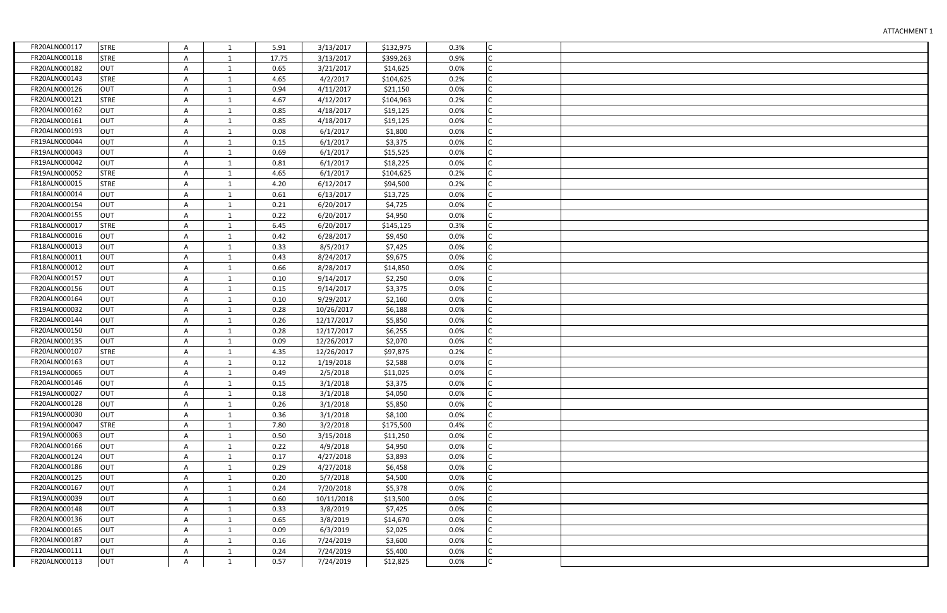| FR20ALN000117 | <b>STRE</b> | Α | 1            | 5.91  | 3/13/2017  | \$132,975 | 0.3% | Iс           |  |
|---------------|-------------|---|--------------|-------|------------|-----------|------|--------------|--|
| FR20ALN000118 | <b>STRE</b> | Α | 1            | 17.75 | 3/13/2017  | \$399,263 | 0.9% | IC.          |  |
| FR20ALN000182 | <b>OUT</b>  | Α | 1            | 0.65  | 3/21/2017  | \$14,625  | 0.0% | Iс           |  |
| FR20ALN000143 | <b>STRE</b> | Α | 1            | 4.65  | 4/2/2017   | \$104,625 | 0.2% | Iс           |  |
| FR20ALN000126 | <b>OUT</b>  | Α | $\mathbf{1}$ | 0.94  | 4/11/2017  | \$21,150  | 0.0% | Iс           |  |
| FR20ALN000121 | <b>STRE</b> | Α | $\mathbf{1}$ | 4.67  | 4/12/2017  | \$104,963 | 0.2% | lc.          |  |
| FR20ALN000162 | <b>OUT</b>  | Α | $\mathbf{1}$ | 0.85  | 4/18/2017  | \$19,125  | 0.0% | Iс           |  |
| FR20ALN000161 | <b>OUT</b>  | Α | 1            | 0.85  | 4/18/2017  | \$19,125  | 0.0% | Iс           |  |
| FR20ALN000193 | <b>OUT</b>  | A | $\mathbf{1}$ | 0.08  | 6/1/2017   | \$1,800   | 0.0% | Iс           |  |
| FR19ALN000044 | <b>OUT</b>  | A | 1            | 0.15  | 6/1/2017   | \$3,375   | 0.0% | Iс           |  |
| FR19ALN000043 | <b>OUT</b>  | A | $\mathbf{1}$ | 0.69  | 6/1/2017   | \$15,525  | 0.0% | Iс           |  |
| FR19ALN000042 | <b>OUT</b>  | A | 1            | 0.81  | 6/1/2017   | \$18,225  | 0.0% | Iс           |  |
| FR19ALN000052 | <b>STRE</b> | A | $\mathbf{1}$ | 4.65  | 6/1/2017   | \$104,625 | 0.2% | Iс           |  |
| FR18ALN000015 | <b>STRE</b> | Α | 1            | 4.20  | 6/12/2017  | \$94,500  | 0.2% | Iс           |  |
| FR18ALN000014 | <b>OUT</b>  | Α | 1            | 0.61  | 6/13/2017  | \$13,725  | 0.0% |              |  |
| FR20ALN000154 | <b>OUT</b>  | Α | 1            | 0.21  | 6/20/2017  | \$4,725   | 0.0% |              |  |
| FR20ALN000155 | <b>OUT</b>  | Α | 1            | 0.22  | 6/20/2017  | \$4,950   | 0.0% | Iс           |  |
| FR18ALN000017 | <b>STRE</b> | Α | 1            | 6.45  | 6/20/2017  | \$145,125 | 0.3% | Iс           |  |
| FR18ALN000016 | <b>OUT</b>  | Α | 1            | 0.42  | 6/28/2017  | \$9,450   | 0.0% |              |  |
| FR18ALN000013 | <b>OUT</b>  | Α | 1            | 0.33  | 8/5/2017   | \$7,425   | 0.0% |              |  |
| FR18ALN000011 | <b>OUT</b>  | Α | $\mathbf{1}$ | 0.43  | 8/24/2017  | \$9,675   | 0.0% | $\mathsf{C}$ |  |
| FR18ALN000012 | <b>OUT</b>  | Α | $\mathbf{1}$ | 0.66  | 8/28/2017  | \$14,850  | 0.0% | Iс           |  |
| FR20ALN000157 | <b>OUT</b>  | Α | $\mathbf{1}$ | 0.10  | 9/14/2017  | \$2,250   | 0.0% | C            |  |
| FR20ALN000156 | <b>OUT</b>  | Α | 1            | 0.15  | 9/14/2017  | \$3,375   | 0.0% | $\mathsf{C}$ |  |
| FR20ALN000164 | <b>OUT</b>  | Α | $\mathbf{1}$ | 0.10  | 9/29/2017  | \$2,160   | 0.0% | IC.          |  |
| FR19ALN000032 | <b>OUT</b>  | A | $\mathbf{1}$ | 0.28  | 10/26/2017 | \$6,188   | 0.0% | Iс           |  |
| FR20ALN000144 | <b>OUT</b>  | Α | $\mathbf{1}$ | 0.26  | 12/17/2017 | \$5,850   | 0.0% | $\mathsf{C}$ |  |
| FR20ALN000150 | <b>OUT</b>  | Α | $\mathbf{1}$ | 0.28  | 12/17/2017 | \$6,255   | 0.0% | Iс           |  |
| FR20ALN000135 | <b>OUT</b>  | Α | $\mathbf{1}$ | 0.09  | 12/26/2017 | \$2,070   | 0.0% | IC.          |  |
| FR20ALN000107 | <b>STRE</b> | Α | $\mathbf{1}$ | 4.35  | 12/26/2017 | \$97,875  | 0.2% |              |  |
| FR20ALN000163 | <b>OUT</b>  | Α | 1            | 0.12  | 1/19/2018  | \$2,588   | 0.0% |              |  |
| FR19ALN000065 | <b>OUT</b>  | A | $\mathbf{1}$ | 0.49  | 2/5/2018   | \$11,025  | 0.0% | Iс           |  |
| FR20ALN000146 | <b>OUT</b>  | Α | 1            | 0.15  | 3/1/2018   | \$3,375   | 0.0% |              |  |
| FR19ALN000027 | <b>OUT</b>  | Α | 1            | 0.18  | 3/1/2018   | \$4,050   | 0.0% |              |  |
| FR20ALN000128 | <b>OUT</b>  | Α | 1            | 0.26  | 3/1/2018   | \$5,850   | 0.0% |              |  |
| FR19ALN000030 | <b>OUT</b>  | Α | 1            | 0.36  | 3/1/2018   | \$8,100   | 0.0% | Iс           |  |
| FR19ALN000047 | <b>STRE</b> | Α | 1            | 7.80  | 3/2/2018   | \$175,500 | 0.4% |              |  |
| FR19ALN000063 | <b>OUT</b>  | Α | 1            | 0.50  | 3/15/2018  | \$11,250  | 0.0% |              |  |
| FR20ALN000166 | <b>OUT</b>  | А | 1            | 0.22  | 4/9/2018   | \$4,950   | 0.0% |              |  |
| FR20ALN000124 | <b>OUT</b>  | Α | 1            | 0.17  | 4/27/2018  | \$3,893   | 0.0% | Iс           |  |
| FR20ALN000186 | <b>OUT</b>  | Α | 1            | 0.29  | 4/27/2018  | \$6,458   | 0.0% |              |  |
| FR20ALN000125 | <b>OUT</b>  | Α | 1            | 0.20  | 5/7/2018   | \$4,500   | 0.0% |              |  |
| FR20ALN000167 | <b>OUT</b>  | Α | 1            | 0.24  | 7/20/2018  | \$5,378   | 0.0% | IС           |  |
| FR19ALN000039 | <b>OUT</b>  | Α | 1            | 0.60  | 10/11/2018 | \$13,500  | 0.0% |              |  |
| FR20ALN000148 | <b>OUT</b>  | Α | 1            | 0.33  | 3/8/2019   | \$7,425   | 0.0% |              |  |
| FR20ALN000136 | <b>OUT</b>  | Α | $\mathbf{1}$ | 0.65  | 3/8/2019   | \$14,670  | 0.0% | Iс           |  |
| FR20ALN000165 | <b>OUT</b>  | Α | $\mathbf{1}$ | 0.09  | 6/3/2019   | \$2,025   | 0.0% | lc.          |  |
| FR20ALN000187 | <b>OUT</b>  | Α | $\mathbf{1}$ | 0.16  | 7/24/2019  | \$3,600   | 0.0% | Iс           |  |
| FR20ALN000111 | <b>OUT</b>  | Α | 1            | 0.24  | 7/24/2019  | \$5,400   | 0.0% | IC.          |  |
| FR20ALN000113 | <b>OUT</b>  | A | $\mathbf{1}$ | 0.57  | 7/24/2019  | \$12,825  | 0.0% | c            |  |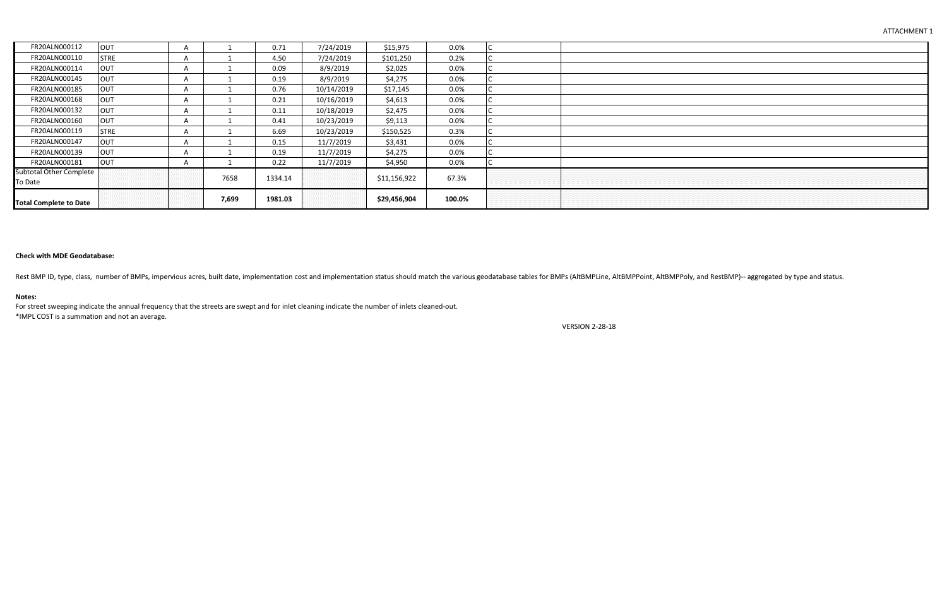| FR20ALN000112                             | <b>OUT</b>  |          |       | 0.71    | 7/24/2019  | \$15,975     | 0.0%   |  |
|-------------------------------------------|-------------|----------|-------|---------|------------|--------------|--------|--|
| FR20ALN000110                             | <b>STRE</b> |          |       | 4.50    | 7/24/2019  | \$101,250    | 0.2%   |  |
| FR20ALN000114                             | <b>OUT</b>  |          |       | 0.09    | 8/9/2019   | \$2,025      | 0.0%   |  |
| FR20ALN000145                             | OUT         |          |       | 0.19    | 8/9/2019   | \$4,275      | 0.0%   |  |
| FR20ALN000185                             | OUT         |          |       | 0.76    | 10/14/2019 | \$17,145     | 0.0%   |  |
| FR20ALN000168                             | <b>OUT</b>  | $\Delta$ |       | 0.21    | 10/16/2019 | \$4,613      | 0.0%   |  |
| FR20ALN000132                             | OUT         |          |       | 0.11    | 10/18/2019 | \$2,475      | 0.0%   |  |
| FR20ALN000160                             | <b>OUT</b>  |          |       | 0.41    | 10/23/2019 | \$9,113      | 0.0%   |  |
| FR20ALN000119                             | <b>STRE</b> | $\Delta$ |       | 6.69    | 10/23/2019 | \$150,525    | 0.3%   |  |
| FR20ALN000147                             | <b>OUT</b>  |          |       | 0.15    | 11/7/2019  | \$3,431      | 0.0%   |  |
| FR20ALN000139                             | OUT         |          |       | 0.19    | 11/7/2019  | \$4,275      | 0.0%   |  |
| FR20ALN000181                             | OUT         | A        |       | 0.22    | 11/7/2019  | \$4,950      | 0.0%   |  |
| <b>Subtotal Other Complete</b><br>To Date |             |          | 7658  | 1334.14 |            | \$11,156,922 | 67.3%  |  |
| <b>Total Complete to Date</b>             |             |          | 7,699 | 1981.03 |            | \$29,456,904 | 100.0% |  |

## **Check with MDE Geodatabase:**

Rest BMP ID, type, class, number of BMPs, impervious acres, built date, implementation cost and implementation status should match the various geodatabase tables for BMPs (AltBMPLine, AltBMPPoint, AltBMPPoly, and RestBMP)-

#### **Notes:**

For street sweeping indicate the annual frequency that the streets are swept and for inlet cleaning indicate the number of inlets cleaned-out. \*IMPL COST is a summation and not an average.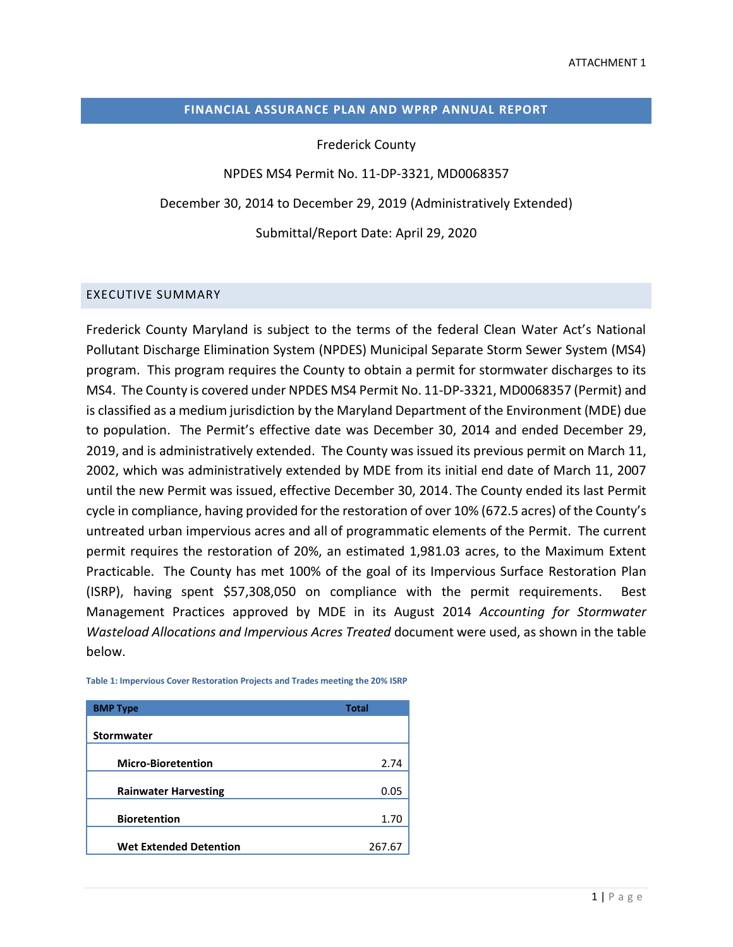### **FINANCIAL ASSURANCE PLAN AND WPRP ANNUAL REPORT**

Frederick County

NPDES MS4 Permit No. 11-DP-3321, MD0068357

December 30, 2014 to December 29, 2019 (Administratively Extended)

Submittal/Report Date: April 29, 2020

#### EXECUTIVE SUMMARY

Frederick County Maryland is subject to the terms of the federal Clean Water Act's National Pollutant Discharge Elimination System (NPDES) Municipal Separate Storm Sewer System (MS4) program. This program requires the County to obtain a permit for stormwater discharges to its MS4. The County is covered under NPDES MS4 Permit No. 11-DP-3321, MD0068357 (Permit) and is classified as a medium jurisdiction by the Maryland Department of the Environment (MDE) due to population. The Permit's effective date was December 30, 2014 and ended December 29, 2019, and is administratively extended. The County was issued its previous permit on March 11, 2002, which was administratively extended by MDE from its initial end date of March 11, 2007 until the new Permit was issued, effective December 30, 2014. The County ended its last Permit cycle in compliance, having provided for the restoration of over 10% (672.5 acres) of the County's untreated urban impervious acres and all of programmatic elements of the Permit. The current permit requires the restoration of 20%, an estimated 1,981.03 acres, to the Maximum Extent Practicable. The County has met 100% of the goal of its Impervious Surface Restoration Plan (ISRP), having spent \$57,308,050 on compliance with the permit requirements. Best Management Practices approved by MDE in its August 2014 *Accounting for Stormwater Wasteload Allocations and Impervious Acres Treated* document were used, as shown in the table below.

| <b>BMP Type</b>               | <b>Total</b> |
|-------------------------------|--------------|
| <b>Stormwater</b>             |              |
|                               |              |
| <b>Micro-Bioretention</b>     | 2.74         |
|                               |              |
| <b>Rainwater Harvesting</b>   | 0.05         |
|                               |              |
| <b>Bioretention</b>           | 1.70         |
|                               |              |
| <b>Wet Extended Detention</b> | 267.6        |

**Table 1: Impervious Cover Restoration Projects and Trades meeting the 20% ISRP**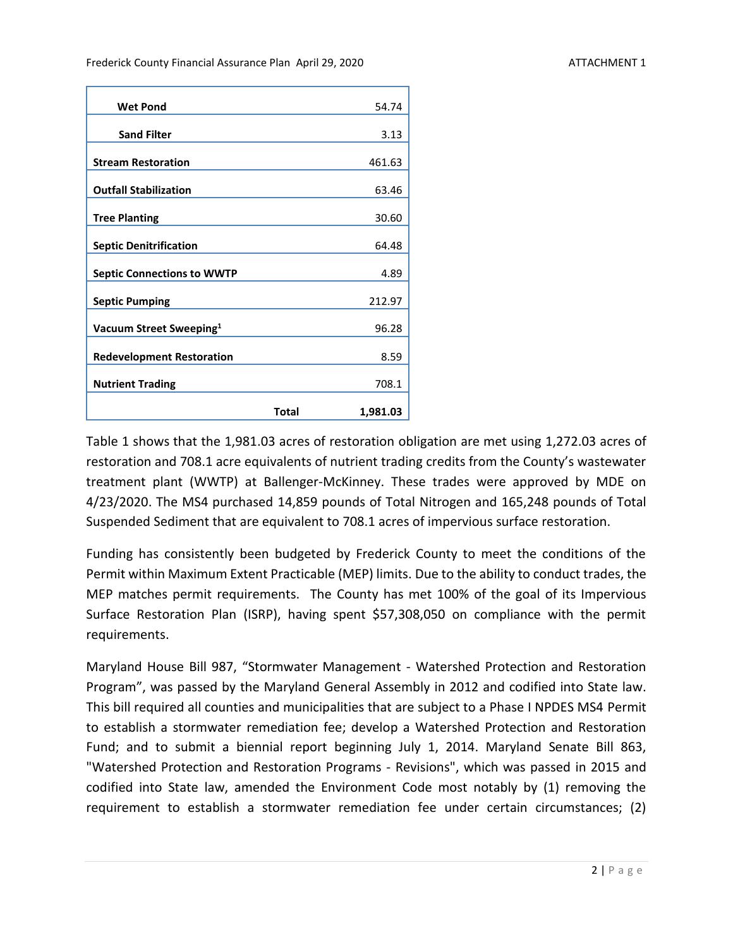| <b>Wet Pond</b>                     |       | 54.74    |
|-------------------------------------|-------|----------|
| <b>Sand Filter</b>                  |       | 3.13     |
| <b>Stream Restoration</b>           |       | 461.63   |
| <b>Outfall Stabilization</b>        |       | 63.46    |
| <b>Tree Planting</b>                |       | 30.60    |
| <b>Septic Denitrification</b>       |       | 64.48    |
| <b>Septic Connections to WWTP</b>   |       | 4.89     |
| <b>Septic Pumping</b>               |       | 212.97   |
| Vacuum Street Sweeping <sup>1</sup> |       | 96.28    |
| <b>Redevelopment Restoration</b>    |       | 8.59     |
| <b>Nutrient Trading</b>             |       | 708.1    |
|                                     | Total | 1,981.03 |

Table 1 shows that the 1,981.03 acres of restoration obligation are met using 1,272.03 acres of restoration and 708.1 acre equivalents of nutrient trading credits from the County's wastewater treatment plant (WWTP) at Ballenger-McKinney. These trades were approved by MDE on 4/23/2020. The MS4 purchased 14,859 pounds of Total Nitrogen and 165,248 pounds of Total Suspended Sediment that are equivalent to 708.1 acres of impervious surface restoration.

Funding has consistently been budgeted by Frederick County to meet the conditions of the Permit within Maximum Extent Practicable (MEP) limits. Due to the ability to conduct trades, the MEP matches permit requirements. The County has met 100% of the goal of its Impervious Surface Restoration Plan (ISRP), having spent \$57,308,050 on compliance with the permit requirements.

Maryland House Bill 987, "Stormwater Management - Watershed Protection and Restoration Program", was passed by the Maryland General Assembly in 2012 and codified into State law. This bill required all counties and municipalities that are subject to a Phase I NPDES MS4 Permit to establish a stormwater remediation fee; develop a Watershed Protection and Restoration Fund; and to submit a biennial report beginning July 1, 2014. Maryland Senate Bill 863, "Watershed Protection and Restoration Programs - Revisions", which was passed in 2015 and codified into State law, amended the Environment Code most notably by (1) removing the requirement to establish a stormwater remediation fee under certain circumstances; (2)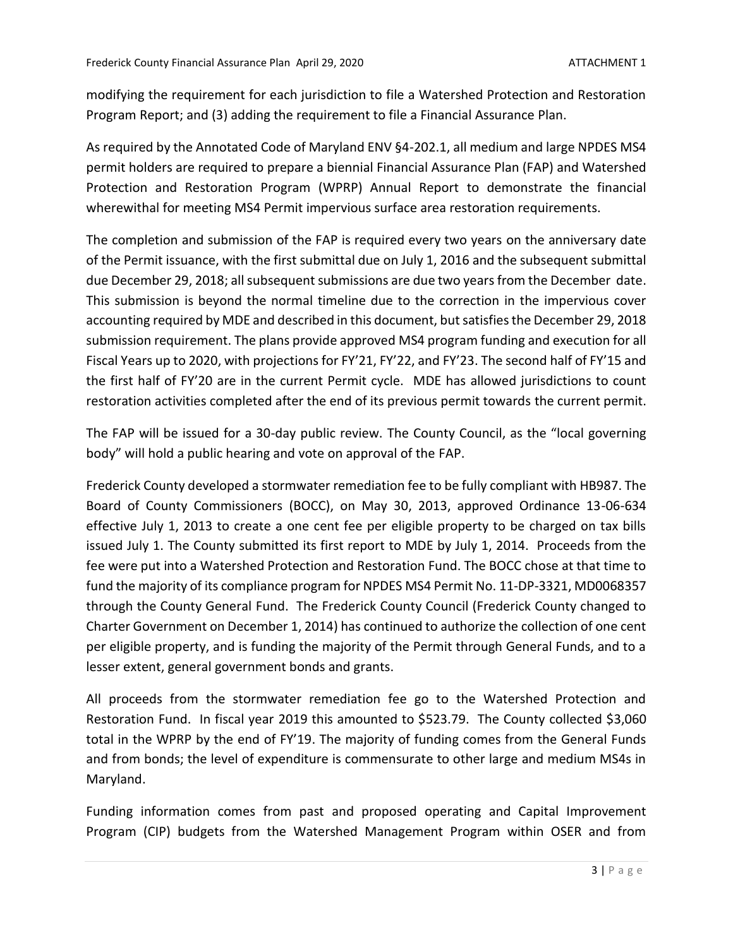modifying the requirement for each jurisdiction to file a Watershed Protection and Restoration Program Report; and (3) adding the requirement to file a Financial Assurance Plan.

As required by the Annotated Code of Maryland ENV §4-202.1, all medium and large NPDES MS4 permit holders are required to prepare a biennial Financial Assurance Plan (FAP) and Watershed Protection and Restoration Program (WPRP) Annual Report to demonstrate the financial wherewithal for meeting MS4 Permit impervious surface area restoration requirements.

The completion and submission of the FAP is required every two years on the anniversary date of the Permit issuance, with the first submittal due on July 1, 2016 and the subsequent submittal due December 29, 2018; all subsequent submissions are due two years from the December date. This submission is beyond the normal timeline due to the correction in the impervious cover accounting required by MDE and described in this document, but satisfies the December 29, 2018 submission requirement. The plans provide approved MS4 program funding and execution for all Fiscal Years up to 2020, with projections for FY'21, FY'22, and FY'23. The second half of FY'15 and the first half of FY'20 are in the current Permit cycle. MDE has allowed jurisdictions to count restoration activities completed after the end of its previous permit towards the current permit.

The FAP will be issued for a 30-day public review. The County Council, as the "local governing body" will hold a public hearing and vote on approval of the FAP.

Frederick County developed a stormwater remediation fee to be fully compliant with HB987. The Board of County Commissioners (BOCC), on May 30, 2013, approved Ordinance 13-06-634 effective July 1, 2013 to create a one cent fee per eligible property to be charged on tax bills issued July 1. The County submitted its first report to MDE by July 1, 2014. Proceeds from the fee were put into a Watershed Protection and Restoration Fund. The BOCC chose at that time to fund the majority of its compliance program for NPDES MS4 Permit No. 11-DP-3321, MD0068357 through the County General Fund. The Frederick County Council (Frederick County changed to Charter Government on December 1, 2014) has continued to authorize the collection of one cent per eligible property, and is funding the majority of the Permit through General Funds, and to a lesser extent, general government bonds and grants.

All proceeds from the stormwater remediation fee go to the Watershed Protection and Restoration Fund. In fiscal year 2019 this amounted to \$523.79. The County collected \$3,060 total in the WPRP by the end of FY'19. The majority of funding comes from the General Funds and from bonds; the level of expenditure is commensurate to other large and medium MS4s in Maryland.

Funding information comes from past and proposed operating and Capital Improvement Program (CIP) budgets from the Watershed Management Program within OSER and from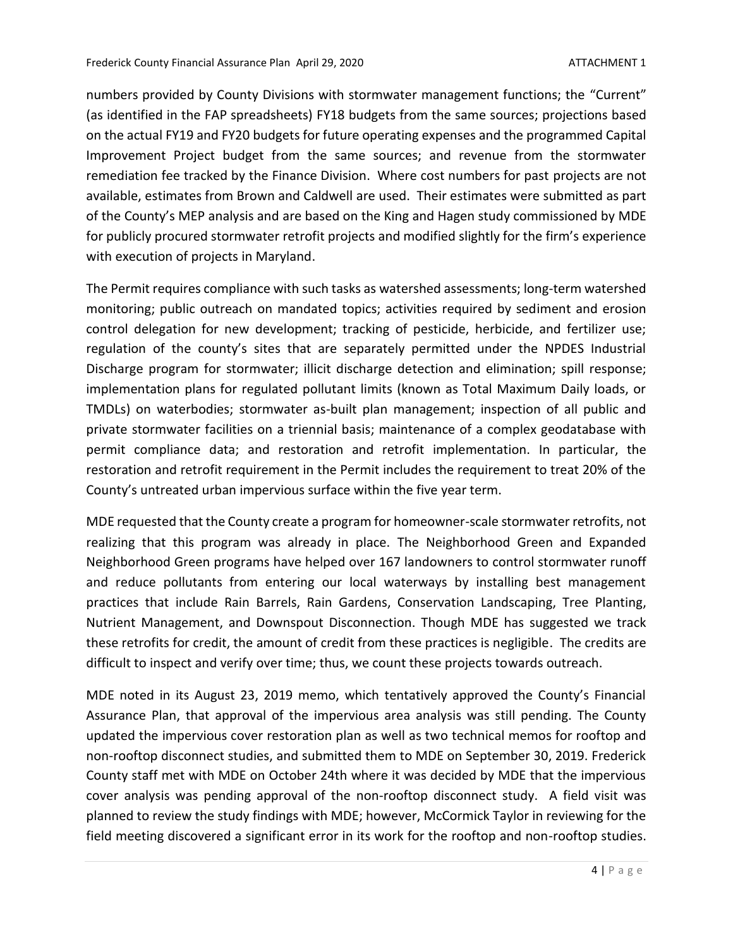numbers provided by County Divisions with stormwater management functions; the "Current" (as identified in the FAP spreadsheets) FY18 budgets from the same sources; projections based on the actual FY19 and FY20 budgets for future operating expenses and the programmed Capital Improvement Project budget from the same sources; and revenue from the stormwater remediation fee tracked by the Finance Division. Where cost numbers for past projects are not available, estimates from Brown and Caldwell are used. Their estimates were submitted as part of the County's MEP analysis and are based on the King and Hagen study commissioned by MDE for publicly procured stormwater retrofit projects and modified slightly for the firm's experience with execution of projects in Maryland.

The Permit requires compliance with such tasks as watershed assessments; long-term watershed monitoring; public outreach on mandated topics; activities required by sediment and erosion control delegation for new development; tracking of pesticide, herbicide, and fertilizer use; regulation of the county's sites that are separately permitted under the NPDES Industrial Discharge program for stormwater; illicit discharge detection and elimination; spill response; implementation plans for regulated pollutant limits (known as Total Maximum Daily loads, or TMDLs) on waterbodies; stormwater as-built plan management; inspection of all public and private stormwater facilities on a triennial basis; maintenance of a complex geodatabase with permit compliance data; and restoration and retrofit implementation. In particular, the restoration and retrofit requirement in the Permit includes the requirement to treat 20% of the County's untreated urban impervious surface within the five year term.

MDE requested that the County create a program for homeowner-scale stormwater retrofits, not realizing that this program was already in place. The Neighborhood Green and Expanded Neighborhood Green programs have helped over 167 landowners to control stormwater runoff and reduce pollutants from entering our local waterways by installing best management practices that include Rain Barrels, Rain Gardens, Conservation Landscaping, Tree Planting, Nutrient Management, and Downspout Disconnection. Though MDE has suggested we track these retrofits for credit, the amount of credit from these practices is negligible. The credits are difficult to inspect and verify over time; thus, we count these projects towards outreach.

MDE noted in its August 23, 2019 memo, which tentatively approved the County's Financial Assurance Plan, that approval of the impervious area analysis was still pending. The County updated the impervious cover restoration plan as well as two technical memos for rooftop and non-rooftop disconnect studies, and submitted them to MDE on September 30, 2019. Frederick County staff met with MDE on October 24th where it was decided by MDE that the impervious cover analysis was pending approval of the non-rooftop disconnect study. A field visit was planned to review the study findings with MDE; however, McCormick Taylor in reviewing for the field meeting discovered a significant error in its work for the rooftop and non-rooftop studies.